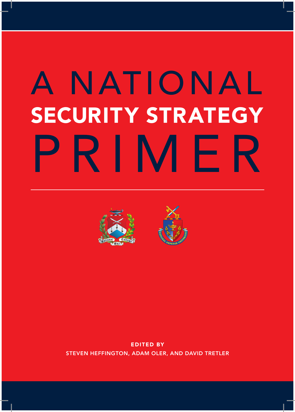# A NATIONAL SECURITY STRATEGY PRIMER





EDITED BY STEVEN HEFFINGTON, ADAM OLER, AND DAVID TRETLER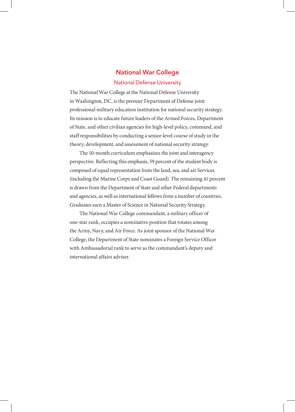## National War College

#### National Defense University

The National War College at the National Defense University in Washington, DC, is the premier Department of Defense joint professional military education institution for national security strategy. Its mission is to educate future leaders of the Armed Forces, Department of State, and other civilian agencies for high-level policy, command, and staff responsibilities by conducting a senior-level course of study in the theory, development, and assessment of national security strategy.

The 10-month curriculum emphasizes the joint and interagency perspective. Reflecting this emphasis, 59 percent of the student body is composed of equal representation from the land, sea, and air Services (including the Marine Corps and Coast Guard). The remaining 41 percent is drawn from the Department of State and other Federal departments and agencies, as well as international fellows from a number of countries. Graduates earn a Master of Science in National Security Strategy.

The National War College commandant, a military officer of one-star rank, occupies a nominative position that rotates among the Army, Navy, and Air Force. As joint sponsor of the National War College, the Department of State nominates a Foreign Service Officer with Ambassadorial rank to serve as the commandant's deputy and international affairs adviser.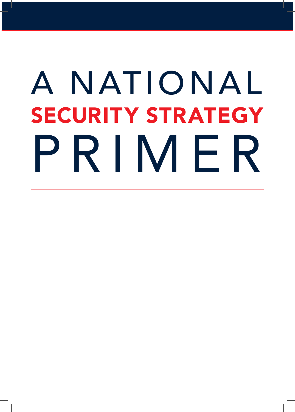# A NATIONAL SECURITY STRATEGY PRIMER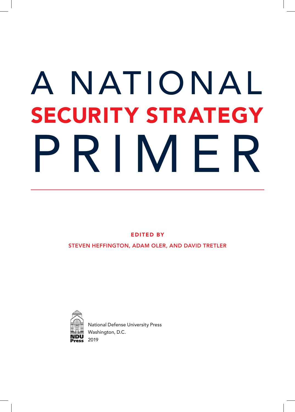# A NATIONAL SECURITY STRATEGY PRIMER

EDITED BY

STEVEN HEFFINGTON, ADAM OLER, AND DAVID TRETLER



National Defense University Press Washington, D.C. 2019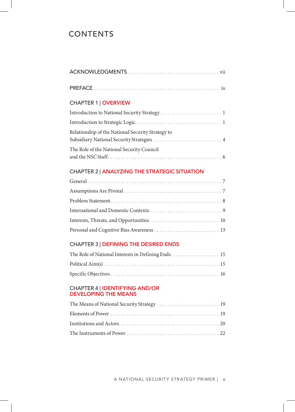# **CONTENTS**

#### CHAPTER 2 | ANALYZING THE STRATEGIC SITUATION

## CHAPTER 3 | DEFINING THE DESIRED ENDS

| The Role of National Interests in Defining Ends. 15 |  |
|-----------------------------------------------------|--|
|                                                     |  |
|                                                     |  |

#### CHAPTER 4 | IDENTIFYING AND/OR DEVELOPING THE MEANS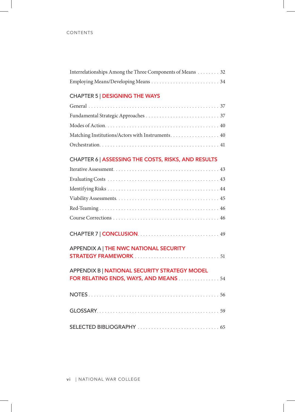| Interrelationships Among the Three Components of Means 32 |  |
|-----------------------------------------------------------|--|
|                                                           |  |

## CHAPTER 5 | DESIGNING THE WAYS

### CHAPTER 6 | ASSESSING THE COSTS, RISKS, AND RESULTS

| APPENDIX A   THE NWC NATIONAL SECURITY |
|----------------------------------------|

| APPENDIX B   NATIONAL SECURITY STRATEGY MODEL<br>FOR RELATING ENDS, WAYS, AND MEANS  54 |  |
|-----------------------------------------------------------------------------------------|--|
|                                                                                         |  |
|                                                                                         |  |
|                                                                                         |  |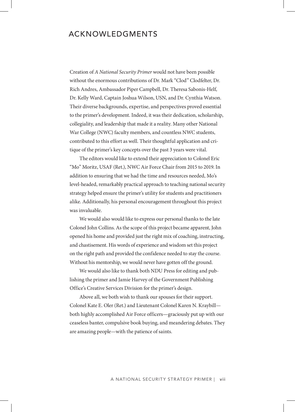## ACKNOWLEDGMENTS

Creation of *A National Security Primer* would not have been possible without the enormous contributions of Dr. Mark "Clod" Clodfelter, Dr. Rich Andres, Ambassador Piper Campbell, Dr. Theresa Sabonis-Helf, Dr. Kelly Ward, Captain Joshua Wilson, USN, and Dr. Cynthia Watson. Their diverse backgrounds, expertise, and perspectives proved essential to the primer's development. Indeed, it was their dedication, scholarship, collegiality, and leadership that made it a reality. Many other National War College (NWC) faculty members, and countless NWC students, contributed to this effort as well. Their thoughtful application and critique of the primer's key concepts over the past 3 years were vital.

The editors would like to extend their appreciation to Colonel Eric "Mo" Moritz, USAF (Ret.), NWC Air Force Chair from 2015 to 2019. In addition to ensuring that we had the time and resources needed, Mo's level-headed, remarkably practical approach to teaching national security strategy helped ensure the primer's utility for students and practitioners alike. Additionally, his personal encouragement throughout this project was invaluable.

We would also would like to express our personal thanks to the late Colonel John Collins. As the scope of this project became apparent, John opened his home and provided just the right mix of coaching, instructing, and chastisement. His words of experience and wisdom set this project on the right path and provided the confidence needed to stay the course. Without his mentorship, we would never have gotten off the ground.

We would also like to thank both NDU Press for editing and publishing the primer and Jamie Harvey of the Government Publishing Office's Creative Services Division for the primer's design.

Above all, we both wish to thank our spouses for their support. Colonel Kate E. Oler (Ret.) and Lieutenant Colonel Karen N. Kraybill both highly accomplished Air Force officers—graciously put up with our ceaseless banter, compulsive book buying, and meandering debates. They are amazing people—with the patience of saints.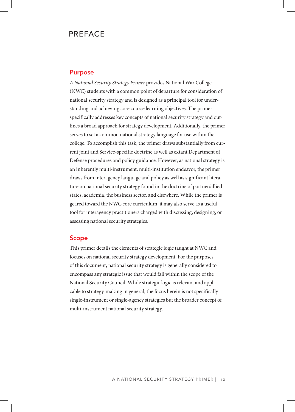## PREFACE

#### Purpose

*A National Security Strategy Primer* provides National War College (NWC) students with a common point of departure for consideration of national security strategy and is designed as a principal tool for understanding and achieving core course learning objectives. The primer specifically addresses key concepts of national security strategy and outlines a broad approach for strategy development. Additionally, the primer serves to set a common national strategy language for use within the college. To accomplish this task, the primer draws substantially from current joint and Service-specific doctrine as well as extant Department of Defense procedures and policy guidance. However, as national strategy is an inherently multi-instrument, multi-institution endeavor, the primer draws from interagency language and policy as well as significant literature on national security strategy found in the doctrine of partner/allied states, academia, the business sector, and elsewhere. While the primer is geared toward the NWC core curriculum, it may also serve as a useful tool for interagency practitioners charged with discussing, designing, or assessing national security strategies.

#### Scope

This primer details the elements of strategic logic taught at NWC and focuses on national security strategy development. For the purposes of this document, national security strategy is generally considered to encompass any strategic issue that would fall within the scope of the National Security Council. While strategic logic is relevant and applicable to strategy-making in general, the focus herein is not specifically single-instrument or single-agency strategies but the broader concept of multi-instrument national security strategy.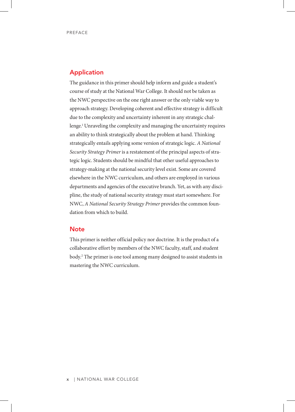#### Application

The guidance in this primer should help inform and guide a student's course of study at the National War College. It should not be taken as the NWC perspective on the one right answer or the only viable way to approach strategy. Developing coherent and effective strategy is difficult due to the complexity and uncertainty inherent in any strategic challenge. <sup>1</sup> Unraveling the complexity and managing the uncertainty requires an ability to think strategically about the problem at hand. Thinking strategically entails applying some version of strategic logic. *A National Security Strategy Primer* is a restatement of the principal aspects of strategic logic. Students should be mindful that other useful approaches to strategy-making at the national security level exist. Some are covered elsewhere in the NWC curriculum, and others are employed in various departments and agencies of the executive branch. Yet, as with any discipline, the study of national security strategy must start somewhere. For NWC, *A National Security Strategy Primer* provides the common foundation from which to build.

#### **Note**

This primer is neither official policy nor doctrine. It is the product of a collaborative effort by members of the NWC faculty, staff, and student body. 2 The primer is one tool among many designed to assist students in mastering the NWC curriculum.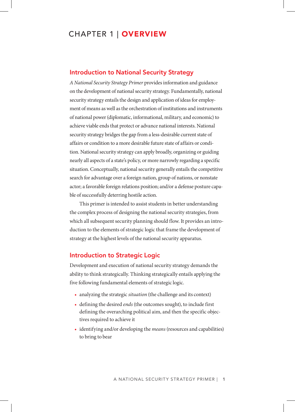# CHAPTER 1 | OVERVIEW

#### Introduction to National Security Strategy

*A National Security Strategy Primer* provides information and guidance on the development of national security strategy. Fundamentally, national security strategy entails the design and application of ideas for employment of means as well as the orchestration of institutions and instruments of national power (diplomatic, informational, military, and economic) to achieve viable ends that protect or advance national interests. National security strategy bridges the gap from a less-desirable current state of affairs or condition to a more desirable future state of affairs or condition. National security strategy can apply broadly, organizing or guiding nearly all aspects of a state's policy, or more narrowly regarding a specific situation. Conceptually, national security generally entails the competitive search for advantage over a foreign nation, group of nations, or nonstate actor; a favorable foreign relations position; and/or a defense posture capable of successfully deterring hostile action.

This primer is intended to assist students in better understanding the complex process of designing the national security strategies, from which all subsequent security planning should flow. It provides an introduction to the elements of strategic logic that frame the development of strategy at the highest levels of the national security apparatus.

#### Introduction to Strategic Logic

Development and execution of national security strategy demands the ability to think strategically. Thinking strategically entails applying the five following fundamental elements of strategic logic.

- analyzing the strategic *situation* (the challenge and its context)
- defining the desired *ends* (the outcomes sought), to include first defining the overarching political aim, and then the specific objectives required to achieve it
- identifying and/or developing the *means* (resources and capabilities) to bring to bear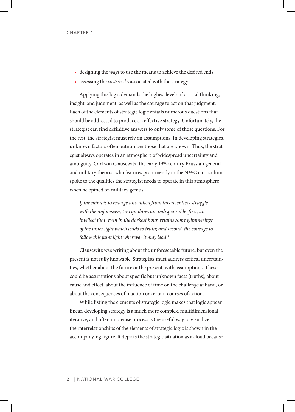- designing the *ways* to use the means to achieve the desired ends
- assessing the *costs/risks* associated with the strategy.

Applying this logic demands the highest levels of critical thinking, insight, and judgment, as well as the courage to act on that judgment. Each of the elements of strategic logic entails numerous questions that should be addressed to produce an effective strategy. Unfortunately, the strategist can find definitive answers to only some of those questions. For the rest, the strategist must rely on assumptions. In developing strategies, unknown factors often outnumber those that are known. Thus, the strategist always operates in an atmosphere of widespread uncertainty and ambiguity. Carl von Clausewitz, the early 19<sup>th</sup>-century Prussian general and military theorist who features prominently in the NWC curriculum, spoke to the qualities the strategist needs to operate in this atmosphere when he opined on military genius:

*If the mind is to emerge unscathed from this relentless struggle with the unforeseen, two qualities are indispensable: first, an intellect that, even in the darkest hour, retains some glimmerings of the inner light which leads to truth; and second, the courage to follow this faint light wherever it may lead.*<sup>3</sup>

Clausewitz was writing about the unforeseeable future, but even the present is not fully knowable. Strategists must address critical uncertainties, whether about the future or the present, with assumptions. These could be assumptions about specific but unknown facts (truths), about cause and effect, about the influence of time on the challenge at hand, or about the consequences of inaction or certain courses of action.

While listing the elements of strategic logic makes that logic appear linear, developing strategy is a much more complex, multidimensional, iterative, and often imprecise process. One useful way to visualize the interrelationships of the elements of strategic logic is shown in the accompanying figure. It depicts the strategic situation as a cloud because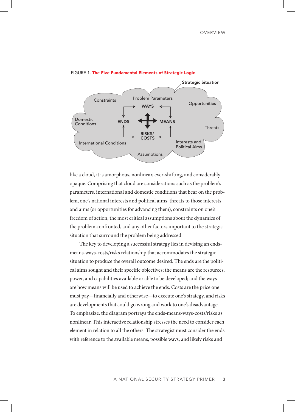

FIGURE 1. The Five Fundamental Elements of Strategic Logic

like a cloud, it is amorphous, nonlinear, ever-shifting, and considerably opaque. Comprising that cloud are considerations such as the problem's parameters, international and domestic conditions that bear on the problem, one's national interests and political aims, threats to those interests and aims (or opportunities for advancing them), constraints on one's freedom of action, the most critical assumptions about the dynamics of the problem confronted, and any other factors important to the strategic situation that surround the problem being addressed.

The key to developing a successful strategy lies in devising an endsmeans-ways-costs/risks relationship that accommodates the strategic situation to produce the overall outcome desired. The ends are the political aims sought and their specific objectives; the means are the resources, power, and capabilities available or able to be developed; and the ways are how means will be used to achieve the ends. Costs are the price one must pay—financially and otherwise—to execute one's strategy, and risks are developments that could go wrong and work to one's disadvantage. To emphasize, the diagram portrays the ends-means-ways-costs/risks as nonlinear. This interactive relationship stresses the need to consider each element in relation to all the others. The strategist must consider the ends with reference to the available means, possible ways, and likely risks and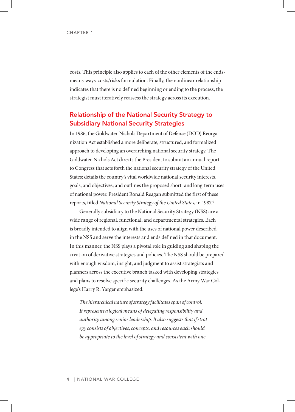costs. This principle also applies to each of the other elements of the endsmeans-ways-costs/risks formulation. Finally, the nonlinear relationship indicates that there is no defined beginning or ending to the process; the strategist must iteratively reassess the strategy across its execution.

## Relationship of the National Security Strategy to Subsidiary National Security Strategies

In 1986, the Goldwater-Nichols Department of Defense (DOD) Reorganization Act established a more deliberate, structured, and formalized approach to developing an overarching national security strategy. The Goldwater-Nichols Act directs the President to submit an annual report to Congress that sets forth the national security strategy of the United States; details the country's vital worldwide national security interests, goals, and objectives; and outlines the proposed short- and long-term uses of national power. President Ronald Reagan submitted the first of these reports, titled *National Security Strategy of the United States*, in 1987. 4

Generally subsidiary to the National Security Strategy (NSS) are a wide range of regional, functional, and departmental strategies. Each is broadly intended to align with the uses of national power described in the NSS and serve the interests and ends defined in that document. In this manner, the NSS plays a pivotal role in guiding and shaping the creation of derivative strategies and policies. The NSS should be prepared with enough wisdom, insight, and judgment to assist strategists and planners across the executive branch tasked with developing strategies and plans to resolve specific security challenges. As the Army War College's Harry R. Yarger emphasized:

*The hierarchical nature of strategy facilitates span of control. It represents a logical means of delegating responsibility and authority among senior leadership. It also suggests that if strategy consists of objectives, concepts, and resources each should be appropriate to the level of strategy and consistent with one*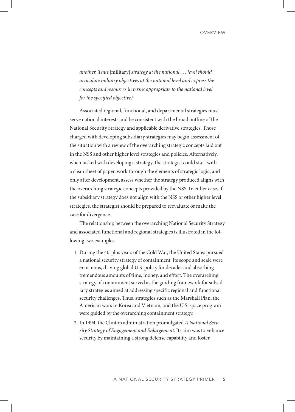*another. Thus* [military] *strategy at the national . . . level should articulate military objectives at the national level and express the concepts and resources in terms appropriate to the national level for the specified objective.*<sup>5</sup>

Associated regional, functional, and departmental strategies must serve national interests and be consistent with the broad outline of the National Security Strategy and applicable derivative strategies. Those charged with developing subsidiary strategies may begin assessment of the situation with a review of the overarching strategic concepts laid out in the NSS and other higher level strategies and policies. Alternatively, when tasked with developing a strategy, the strategist could start with a clean sheet of paper, work through the elements of strategic logic, and only after development, assess whether the strategy produced aligns with the overarching strategic concepts provided by the NSS. In either case, if the subsidiary strategy does not align with the NSS or other higher level strategies, the strategist should be prepared to reevaluate or make the case for divergence.

The relationship between the overarching National Security Strategy and associated functional and regional strategies is illustrated in the following two examples:

- 1. During the 40-plus years of the Cold War, the United States pursued a national security strategy of containment. Its scope and scale were enormous, driving global U.S. policy for decades and absorbing tremendous amounts of time, money, and effort. The overarching strategy of containment served as the guiding framework for subsidiary strategies aimed at addressing specific regional and functional security challenges. Thus, strategies such as the Marshall Plan, the American wars in Korea and Vietnam, and the U.S. space program were guided by the overarching containment strategy.
- 2. In 1994, the Clinton administration promulgated *A National Security Strategy of Engagement and Enlargement*. Its aim was to enhance security by maintaining a strong defense capability and foster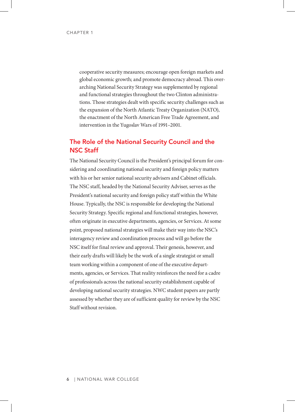cooperative security measures; encourage open foreign markets and global economic growth; and promote democracy abroad. This overarching National Security Strategy was supplemented by regional and functional strategies throughout the two Clinton administrations. Those strategies dealt with specific security challenges such as the expansion of the North Atlantic Treaty Organization (NATO), the enactment of the North American Free Trade Agreement, and intervention in the Yugoslav Wars of 1991–2001.

## The Role of the National Security Council and the NSC Staff

The National Security Council is the President's principal forum for considering and coordinating national security and foreign policy matters with his or her senior national security advisers and Cabinet officials. The NSC staff, headed by the National Security Adviser, serves as the President's national security and foreign policy staff within the White House. Typically, the NSC is responsible for developing the National Security Strategy. Specific regional and functional strategies, however, often originate in executive departments, agencies, or Services. At some point, proposed national strategies will make their way into the NSC's interagency review and coordination process and will go before the NSC itself for final review and approval. Their genesis, however, and their early drafts will likely be the work of a single strategist or small team working within a component of one of the executive departments, agencies, or Services. That reality reinforces the need for a cadre of professionals across the national security establishment capable of developing national security strategies. NWC student papers are partly assessed by whether they are of sufficient quality for review by the NSC Staff without revision.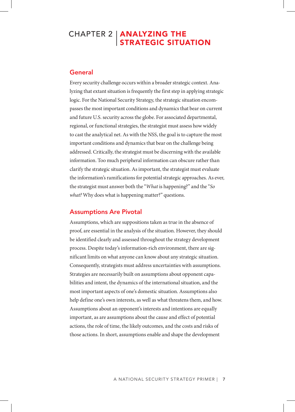# CHAPTER 2 | **ANALYZING THE** STRATEGIC SITUATION

### General

Every security challenge occurs within a broader strategic context. Analyzing that extant situation is frequently the first step in applying strategic logic. For the National Security Strategy, the strategic situation encompasses the most important conditions and dynamics that bear on current and future U.S. security across the globe. For associated departmental, regional, or functional strategies, the strategist must assess how widely to cast the analytical net. As with the NSS, the goal is to capture the most important conditions and dynamics that bear on the challenge being addressed. Critically, the strategist must be discerning with the available information. Too much peripheral information can obscure rather than clarify the strategic situation. As important, the strategist must evaluate the information's ramifications for potential strategic approaches. As ever, the strategist must answer both the "*What* is happening?" and the "*So what?* Why does what is happening matter?" questions.

## Assumptions Are Pivotal

Assumptions, which are suppositions taken as true in the absence of proof, are essential in the analysis of the situation. However, they should be identified clearly and assessed throughout the strategy development process. Despite today's information-rich environment, there are significant limits on what anyone can know about any strategic situation. Consequently, strategists must address uncertainties with assumptions. Strategies are necessarily built on assumptions about opponent capabilities and intent, the dynamics of the international situation, and the most important aspects of one's domestic situation. Assumptions also help define one's own interests, as well as what threatens them, and how. Assumptions about an opponent's interests and intentions are equally important, as are assumptions about the cause and effect of potential actions, the role of time, the likely outcomes, and the costs and risks of those actions. In short, assumptions enable and shape the development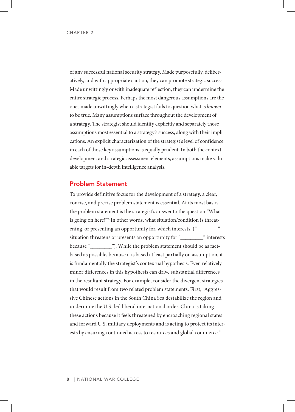of any successful national security strategy. Made purposefully, deliberatively, and with appropriate caution, they can promote strategic success. Made unwittingly or with inadequate reflection, they can undermine the entire strategic process. Perhaps the most dangerous assumptions are the ones made unwittingly when a strategist fails to question what is *known*  to be true. Many assumptions surface throughout the development of a strategy. The strategist should identify explicitly and separately those assumptions most essential to a strategy's success, along with their implications. An explicit characterization of the strategist's level of confidence in each of those key assumptions is equally prudent. In both the context development and strategic assessment elements, assumptions make valuable targets for in-depth intelligence analysis.

#### Problem Statement

To provide definitive focus for the development of a strategy, a clear, concise, and precise problem statement is essential. At its most basic, the problem statement is the strategist's answer to the question "What is going on here?"6 In other words, what situation/condition is threatening, or presenting an opportunity for, which interests. (" situation threatens or presents an opportunity for "\_\_\_\_\_\_\_\_\_" interests because "\_\_\_\_\_\_\_\_\_"). While the problem statement should be as factbased as possible, because it is based at least partially on assumption, it is fundamentally the strategist's contextual hypothesis. Even relatively minor differences in this hypothesis can drive substantial differences in the resultant strategy. For example, consider the divergent strategies that would result from two related problem statements. First, "Aggressive Chinese actions in the South China Sea destabilize the region and undermine the U.S.-led liberal international order. China is taking these actions because it feels threatened by encroaching regional states and forward U.S. military deployments and is acting to protect its interests by ensuring continued access to resources and global commerce."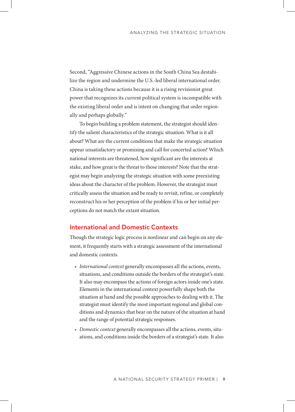Second, "Aggressive Chinese actions in the South China Sea destabilize the region and undermine the U.S.-led liberal international order. China is taking these actions because it is a rising revisionist great power that recognizes its current political system is incompatible with the existing liberal order and is intent on changing that order regionally and perhaps globally."

To begin building a problem statement, the strategist should identify the salient characteristics of the strategic situation. What is it all about? What are the current conditions that make the strategic situation appear unsatisfactory or promising and call for concerted action? Which national interests are threatened, how significant are the interests at stake, and how great is the threat to those interests? Note that the strategist may begin analyzing the strategic situation with some preexisting ideas about the character of the problem. However, the strategist must critically assess the situation and be ready to revisit, refine, or completely reconstruct his or her perception of the problem if his or her initial perceptions do not match the extant situation.

#### International and Domestic Contexts

Though the strategic logic process is nonlinear and can begin on any element, it frequently starts with a strategic assessment of the international and domestic contexts.

- *International context* generally encompasses all the actions, events, situations, and conditions outside the borders of the strategist's state. It also may encompass the actions of foreign actors inside one's state. Elements in the international context powerfully shape both the situation at hand and the possible approaches to dealing with it. The strategist must identify the most important regional and global conditions and dynamics that bear on the nature of the situation at hand and the range of potential strategic responses.
- *Domestic context* generally encompasses all the actions, events, situations, and conditions inside the borders of a strategist's state. It also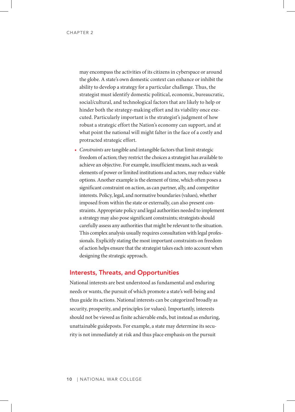may encompass the activities of its citizens in cyberspace or around the globe. A state's own domestic context can enhance or inhibit the ability to develop a strategy for a particular challenge. Thus, the strategist must identify domestic political, economic, bureaucratic, social/cultural, and technological factors that are likely to help or hinder both the strategy-making effort and its viability once executed. Particularly important is the strategist's judgment of how robust a strategic effort the Nation's economy can support, and at what point the national will might falter in the face of a costly and protracted strategic effort.

• *Constraints* are tangible and intangible factors that limit strategic freedom of action; they restrict the choices a strategist has available to achieve an objective. For example, insufficient means, such as weak elements of power or limited institutions and actors, may reduce viable options. Another example is the element of time, which often poses a significant constraint on action, as can partner, ally, and competitor interests. Policy, legal, and normative boundaries (values), whether imposed from within the state or externally, can also present constraints. Appropriate policy and legal authorities needed to implement a strategy may also pose significant constraints; strategists should carefully assess any authorities that might be relevant to the situation. This complex analysis usually requires consultation with legal professionals. Explicitly stating the most important constraints on freedom of action helps ensure that the strategist takes each into account when designing the strategic approach.

#### Interests, Threats, and Opportunities

National interests are best understood as fundamental and enduring needs or wants, the pursuit of which promote a state's well-being and thus guide its actions. National interests can be categorized broadly as security, prosperity, and principles (or values). Importantly, interests should not be viewed as finite achievable ends, but instead as enduring, unattainable guideposts. For example, a state may determine its security is not immediately at risk and thus place emphasis on the pursuit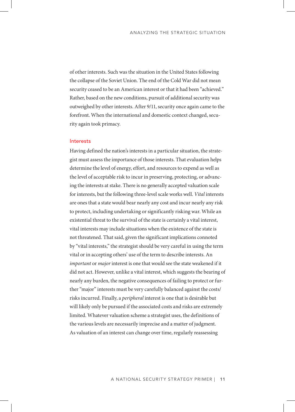of other interests. Such was the situation in the United States following the collapse of the Soviet Union. The end of the Cold War did not mean security ceased to be an American interest or that it had been "achieved." Rather, based on the new conditions, pursuit of additional security was outweighed by other interests. After 9/11, security once again came to the forefront. When the international and domestic context changed, security again took primacy.

#### Interests

Having defined the nation's interests in a particular situation, the strategist must assess the importance of those interests. That evaluation helps determine the level of energy, effort, and resources to expend as well as the level of acceptable risk to incur in preserving, protecting, or advancing the interests at stake. There is no generally accepted valuation scale for interests, but the following three-level scale works well. *Vital* interests are ones that a state would bear nearly any cost and incur nearly any risk to protect, including undertaking or significantly risking war. While an existential threat to the survival of the state is certainly a vital interest, vital interests may include situations when the existence of the state is not threatened. That said, given the significant implications connoted by "vital interests," the strategist should be very careful in using the term vital or in accepting others' use of the term to describe interests. An *important* or *major* interest is one that would see the state weakened if it did not act. However, unlike a vital interest, which suggests the bearing of nearly any burden, the negative consequences of failing to protect or further "major" interests must be very carefully balanced against the costs/ risks incurred. Finally, a *peripheral* interest is one that is desirable but will likely only be pursued if the associated costs and risks are extremely limited. Whatever valuation scheme a strategist uses, the definitions of the various levels are necessarily imprecise and a matter of judgment. As valuation of an interest can change over time, regularly reassessing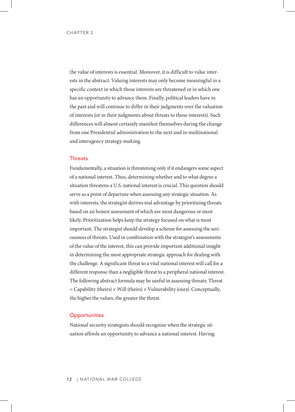the value of interests is essential. Moreover, it is difficult to value interests in the abstract. Valuing interests may only become meaningful in a specific context in which those interests are threatened or in which one has an opportunity to advance them. Finally, political leaders have in the past and will continue to differ in their judgments over the valuation of interests (or in their judgments about threats to those interests). Such differences will almost certainly manifest themselves during the change from one Presidential administration to the next and in multinational and interagency strategy-making.

#### **Threats**

Fundamentally, a situation is threatening only if it endangers some aspect of a national interest. Thus, determining whether and to what degree a situation threatens a U.S. national interest is crucial. This question should serve as a point of departure when assessing any strategic situation. As with interests, the strategist derives real advantage by prioritizing threats based on an honest assessment of which are most dangerous or most likely. Prioritization helps keep the strategy focused on what is most important. The strategist should develop a scheme for assessing the seriousness of threats. Used in combination with the strategist's assessments of the value of the interest, this can provide important additional insight in determining the most appropriate strategic approach for dealing with the challenge. A significant threat to a vital national interest will call for a different response than a negligible threat to a peripheral national interest. The following abstract formula may be useful in assessing threats: Threat  $=$  Capability (theirs)  $\times$  Will (theirs)  $\times$  Vulnerability (ours). Conceptually, the higher the values, the greater the threat.

#### **Opportunities**

National security strategists should recognize when the strategic situation affords an opportunity to advance a national interest. Having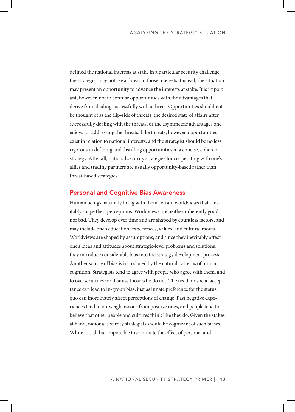defined the national interests at stake in a particular security challenge, the strategist may not see a threat to those interests. Instead, the situation may present an opportunity to advance the interests at stake. It is important, however, not to confuse opportunities with the advantages that derive from dealing successfully with a threat. Opportunities should not be thought of as the flip-side of threats, the desired state of affairs after successfully dealing with the threats, or the asymmetric advantages one enjoys for addressing the threats. Like threats, however, opportunities exist in relation to national interests, and the strategist should be no less rigorous in defining and distilling opportunities in a concise, coherent strategy. After all, national security strategies for cooperating with one's allies and trading partners are usually opportunity-based rather than threat-based strategies.

#### Personal and Cognitive Bias Awareness

Human beings naturally bring with them certain worldviews that inevitably shape their perceptions. Worldviews are neither inherently good nor bad. They develop over time and are shaped by countless factors, and may include one's education, experiences, values, and cultural mores. Worldviews are shaped by assumptions, and since they inevitably affect one's ideas and attitudes about strategic-level problems and solutions, they introduce considerable bias into the strategy development process. Another source of bias is introduced by the natural patterns of human cognition. Strategists tend to agree with people who agree with them, and to overscrutinize or dismiss those who do not. The need for social acceptance can lead to in-group bias, just as innate preference for the status quo can inordinately affect perceptions of change. Past negative experiences tend to outweigh lessons from positive ones, and people tend to believe that other people and cultures think like they do. Given the stakes at hand, national security strategists should be cognizant of such biases. While it is all but impossible to eliminate the effect of personal and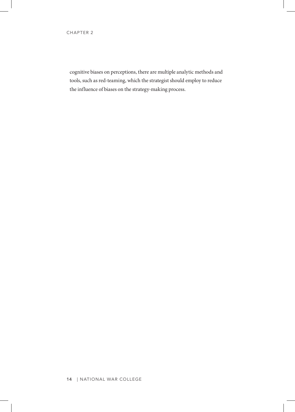cognitive biases on perceptions, there are multiple analytic methods and tools, such as red-teaming, which the strategist should employ to reduce the influence of biases on the strategy-making process.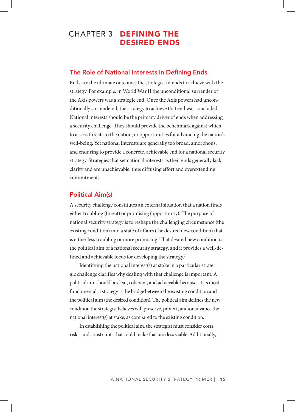# CHAPTER 3 | DEFINING THE DESIRED ENDS

#### The Role of National Interests in Defining Ends

Ends are the ultimate outcomes the strategist intends to achieve with the strategy. For example, in World War II the unconditional surrender of the Axis powers was a strategic end. Once the Axis powers had unconditionally surrendered, the strategy to achieve that end was concluded. National interests should be the primary driver of ends when addressing a security challenge. They should provide the benchmark against which to assess threats to the nation, or opportunities for advancing the nation's well-being. Yet national interests are generally too broad, amorphous, and enduring to provide a concrete, achievable end for a national security strategy. Strategies that set national interests as their ends generally lack clarity and are unachievable, thus diffusing effort and overextending commitments.

### Political Aim(s)

A security challenge constitutes an external situation that a nation finds either troubling (threat) or promising (opportunity). The purpose of national security strategy is to reshape the challenging circumstance (the existing condition) into a state of affairs (the desired new condition) that is either less troubling or more promising. That desired new condition is the political aim of a national security strategy, and it provides a well-defined and achievable focus for developing the strategy.<sup>7</sup>

Identifying the national interest(s) at stake in a particular strategic challenge clarifies why dealing with that challenge is important. A political aim should be clear, coherent, and achievable because, at its most fundamental, a strategy is the bridge between the existing condition and the political aim (the desired condition). The political aim defines the new condition the strategist believes will preserve, protect, and/or advance the national interest(s) at stake, as compared to the existing condition.

In establishing the political aim, the strategist must consider costs, risks, and constraints that could make that aim less viable. Additionally,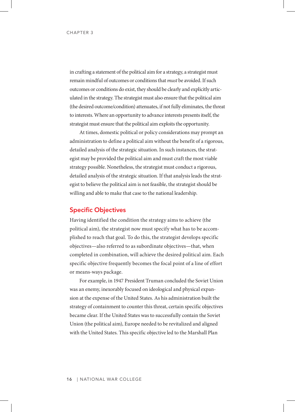in crafting a statement of the political aim for a strategy, a strategist must remain mindful of outcomes or conditions that *must* be avoided. If such outcomes or conditions do exist, they should be clearly and explicitly articulated in the strategy. The strategist must also ensure that the political aim (the desired outcome/condition) attenuates, if not fully eliminates, the threat to interests. Where an opportunity to advance interests presents itself, the strategist must ensure that the political aim exploits the opportunity.

At times, domestic political or policy considerations may prompt an administration to define a political aim without the benefit of a rigorous, detailed analysis of the strategic situation. In such instances, the strategist may be provided the political aim and must craft the most viable strategy possible. Nonetheless, the strategist must conduct a rigorous, detailed analysis of the strategic situation. If that analysis leads the strategist to believe the political aim is not feasible, the strategist should be willing and able to make that case to the national leadership.

#### Specific Objectives

Having identified the condition the strategy aims to achieve (the political aim), the strategist now must specify what has to be accomplished to reach that goal. To do this, the strategist develops specific objectives—also referred to as subordinate objectives—that, when completed in combination, will achieve the desired political aim. Each specific objective frequently becomes the focal point of a line of effort or means-ways package.

For example, in 1947 President Truman concluded the Soviet Union was an enemy, inexorably focused on ideological and physical expansion at the expense of the United States. As his administration built the strategy of containment to counter this threat, certain specific objectives became clear. If the United States was to successfully contain the Soviet Union (the political aim), Europe needed to be revitalized and aligned with the United States. This specific objective led to the Marshall Plan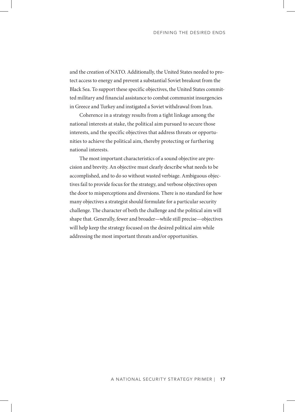and the creation of NATO. Additionally, the United States needed to protect access to energy and prevent a substantial Soviet breakout from the Black Sea. To support these specific objectives, the United States committed military and financial assistance to combat communist insurgencies in Greece and Turkey and instigated a Soviet withdrawal from Iran.

Coherence in a strategy results from a tight linkage among the national interests at stake, the political aim pursued to secure those interests, and the specific objectives that address threats or opportunities to achieve the political aim, thereby protecting or furthering national interests.

The most important characteristics of a sound objective are precision and brevity. An objective must clearly describe what needs to be accomplished, and to do so without wasted verbiage. Ambiguous objectives fail to provide focus for the strategy, and verbose objectives open the door to misperceptions and diversions. There is no standard for how many objectives a strategist should formulate for a particular security challenge. The character of both the challenge and the political aim will shape that. Generally, fewer and broader—while still precise—objectives will help keep the strategy focused on the desired political aim while addressing the most important threats and/or opportunities.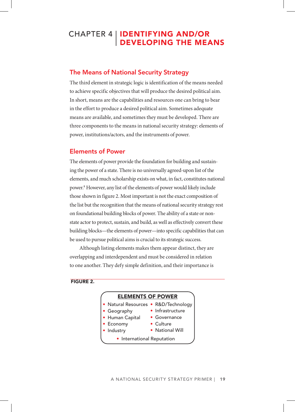# CHAPTER 4 | **IDENTIFYING AND/OR** DEVELOPING THE MEANS

## The Means of National Security Strategy

The third element in strategic logic is identification of the means needed to achieve specific objectives that will produce the desired political aim. In short, means are the capabilities and resources one can bring to bear in the effort to produce a desired political aim. Sometimes adequate means are available, and sometimes they must be developed. There are three components to the means in national security strategy: elements of power, institutions/actors, and the instruments of power.

## Elements of Power

The elements of power provide the foundation for building and sustaining the power of a state. There is no universally agreed-upon list of the elements, and much scholarship exists on what, in fact, constitutes national power. 8 However, any list of the elements of power would likely include those shown in figure 2. Most important is not the exact composition of the list but the recognition that the means of national security strategy rest on foundational building blocks of power. The ability of a state or nonstate actor to protect, sustain, and build, as well as effectively convert these building blocks—the elements of power—into specific capabilities that can be used to pursue political aims is crucial to its strategic success.

Although listing elements makes them appear distinct, they are overlapping and interdependent and must be considered in relation to one another. They defy simple definition, and their importance is

FIGURE 2.

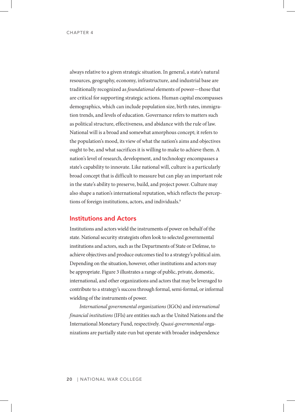always relative to a given strategic situation. In general, a state's natural resources, geography, economy, infrastructure, and industrial base are traditionally recognized as *foundational* elements of power—those that are critical for supporting strategic actions. Human capital encompasses demographics, which can include population size, birth rates, immigration trends, and levels of education. Governance refers to matters such as political structure, effectiveness, and abidance with the rule of law. National will is a broad and somewhat amorphous concept; it refers to the population's mood, its view of what the nation's aims and objectives ought to be, and what sacrifices it is willing to make to achieve them. A nation's level of research, development, and technology encompasses a state's capability to innovate. Like national will, culture is a particularly broad concept that is difficult to measure but can play an important role in the state's ability to preserve, build, and project power. Culture may also shape a nation's international reputation, which reflects the perceptions of foreign institutions, actors, and individuals. 9

#### Institutions and Actors

Institutions and actors wield the instruments of power on behalf of the state. National security strategists often look to selected governmental institutions and actors, such as the Departments of State or Defense, to achieve objectives and produce outcomes tied to a strategy's political aim. Depending on the situation, however, other institutions and actors may be appropriate. Figure 3 illustrates a range of public, private, domestic, international, and other organizations and actors that may be leveraged to contribute to a strategy's success through formal, semi-formal, or informal wielding of the instruments of power.

*International governmental organizations* (IGOs) and *international financial institutions* (IFIs) are entities such as the United Nations and the International Monetary Fund, respectively. *Quasi-governmental* organizations are partially state-run but operate with broader independence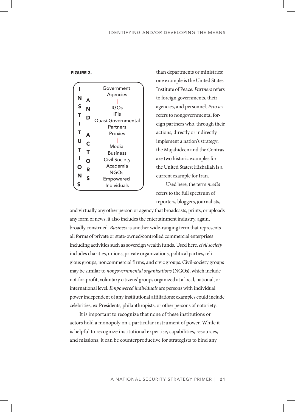

than departments or ministries; one example is the United States Institute of Peace. *Partners* refers to foreign governments, their agencies, and personnel. *Proxies* refers to nongovernmental foreign partners who, through their actions, directly or indirectly implement a nation's strategy; the Mujahideen and the Contras are two historic examples for the United States; Hizballah is a current example for Iran.

Used here, the term *media* refers to the full spectrum of reporters, bloggers, journalists,

and virtually any other person or agency that broadcasts, prints, or uploads any form of news; it also includes the entertainment industry, again, broadly construed. *Business* is another wide-ranging term that represents all forms of private or state-owned/controlled commercial enterprises including activities such as sovereign wealth funds. Used here, *civil society* includes charities, unions, private organizations, political parties, religious groups, noncommercial firms, and civic groups. Civil-society groups may be similar to *nongovernmental organizations* (NGOs), which include not-for-profit, voluntary citizens' groups organized at a local, national, or international level. *Empowered individuals* are persons with individual power independent of any institutional affiliations; examples could include celebrities, ex-Presidents, philanthropists, or other persons of notoriety.

It is important to recognize that none of these institutions or actors hold a monopoly on a particular instrument of power. While it is helpful to recognize institutional expertise, capabilities, resources, and missions, it can be counterproductive for strategists to bind any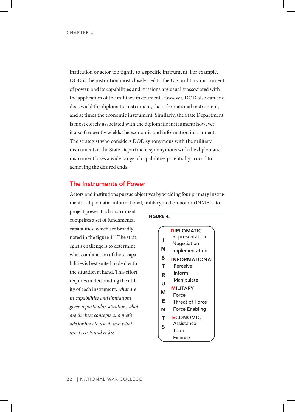institution or actor too tightly to a specific instrument. For example, DOD is the institution most closely tied to the U.S. military instrument of power, and its capabilities and missions are usually associated with the application of the military instrument. However, DOD also can and does wield the diplomatic instrument, the informational instrument, and at times the economic instrument. Similarly, the State Department is most closely associated with the diplomatic instrument; however, it also frequently wields the economic and information instrument. The strategist who considers DOD synonymous with the military instrument or the State Department synonymous with the diplomatic instrument loses a wide range of capabilities potentially crucial to achieving the desired ends.

#### The Instruments of Power

Actors and institutions pursue objectives by wielding four primary instruments—diplomatic, informational, military, and economic (DIME)—to

project power. Each instrument comprises a set of fundamental capabilities, which are broadly noted in the figure 4. 10 The strategist's challenge is to determine what combination of those capabilities is best suited to deal with the situation at hand. This effort requires understanding the utility of each instrument; *what are its capabilities and limitations given a particular situation, what are the best concepts and methods for how to use it,* and *what are its costs and risks*?

#### FIGURE 4.

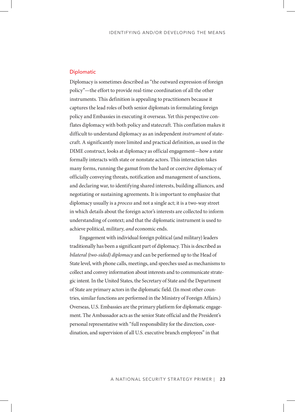#### **Diplomatic**

Diplomacy is sometimes described as "the outward expression of foreign policy"—the effort to provide real-time coordination of all the other instruments. This definition is appealing to practitioners because it captures the lead roles of both senior diplomats in formulating foreign policy and Embassies in executing it overseas. Yet this perspective conflates diplomacy with both policy and statecraft. This conflation makes it difficult to understand diplomacy as an independent *instrument* of statecraft. A significantly more limited and practical definition, as used in the DIME construct, looks at diplomacy as official engagement—how a state formally interacts with state or nonstate actors. This interaction takes many forms, running the gamut from the hard or coercive diplomacy of officially conveying threats, notification and management of sanctions, and declaring war, to identifying shared interests, building alliances, and negotiating or sustaining agreements. It is important to emphasize that diplomacy usually is a *process* and not a single act; it is a two-way street in which details about the foreign actor's interests are collected to inform understanding of context; and that the diplomatic instrument is used to achieve political, military, *and* economic ends.

Engagement with individual foreign political (and military) leaders traditionally has been a significant part of diplomacy. This is described as *bilateral (two-sided) diplomacy* and can be performed up to the Head of State level, with phone calls, meetings, and speeches used as mechanisms to collect and convey information about interests and to communicate strategic intent. In the United States, the Secretary of State and the Department of State are primary actors in the diplomatic field. (In most other countries, similar functions are performed in the Ministry of Foreign Affairs.) Overseas, U.S. Embassies are the primary platform for diplomatic engagement. The Ambassador acts as the senior State official and the President's personal representative with "full responsibility for the direction, coordination, and supervision of all U.S. executive branch employees" in that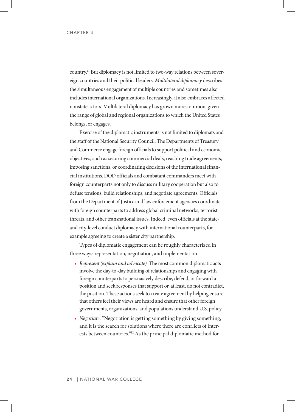country. 11 But diplomacy is not limited to two-way relations between sovereign countries and their political leaders. *Multilateral diplomacy* describes the simultaneous engagement of multiple countries and sometimes also includes international organizations. Increasingly, it also embraces affected nonstate actors. Multilateral diplomacy has grown more common, given the range of global and regional organizations to which the United States belongs, or engages.

Exercise of the diplomatic instruments is not limited to diplomats and the staff of the National Security Council. The Departments of Treasury and Commerce engage foreign officials to support political and economic objectives, such as securing commercial deals, reaching trade agreements, imposing sanctions, or coordinating decisions of the international financial institutions. DOD officials and combatant commanders meet with foreign counterparts not only to discuss military cooperation but also to defuse tensions, build relationships, and negotiate agreements. Officials from the Department of Justice and law enforcement agencies coordinate with foreign counterparts to address global criminal networks, terrorist threats, and other transnational issues. Indeed, even officials at the stateand city-level conduct diplomacy with international counterparts, for example agreeing to create a sister city partnership.

Types of diplomatic engagement can be roughly characterized in three ways: representation, negotiation, and implementation.

- *Represent (explain and advocate).* The most common diplomatic acts involve the day-to-day building of relationships and engaging with foreign counterparts to persuasively describe, defend, or forward a position and seek responses that support or, at least, do not contradict, the position. These actions seek to create agreement by helping ensure that others feel their views are heard and ensure that other foreign governments, organizations, and populations understand U.S. policy.
- *Negotiate.* "Negotiation is getting something by giving something, and it is the search for solutions where there are conflicts of interests between countries."12 As the principal diplomatic method for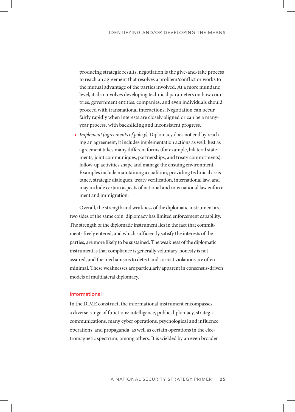producing strategic results, negotiation is the give-and-take process to reach an agreement that resolves a problem/conflict or works to the mutual advantage of the parties involved. At a more mundane level, it also involves developing technical parameters on how countries, government entities, companies, and even individuals should proceed with transnational interactions. Negotiation can occur fairly rapidly when interests are closely aligned or can be a manyyear process, with backsliding and inconsistent progress.

• *Implement (agreements of policy).* Diplomacy does not end by reaching an agreement; it includes implementation actions as well. Just as agreement takes many different forms (for example, bilateral statements, joint communiqués, partnerships, and treaty commitments), follow-up activities shape and manage the ensuing environment. Examples include maintaining a coalition, providing technical assistance, strategic dialogues, treaty verification, international law, and may include certain aspects of national and international law enforcement and immigration.

Overall, the strength and weakness of the diplomatic instrument are two sides of the same coin: diplomacy has limited enforcement capability. The strength of the diplomatic instrument lies in the fact that commitments freely entered, and which sufficiently satisfy the interests of the parties, are more likely to be sustained. The weakness of the diplomatic instrument is that compliance is generally voluntary, honesty is not assured, and the mechanisms to detect and correct violations are often minimal. These weaknesses are particularly apparent in consensus-driven models of multilateral diplomacy.

### Informational

In the DIME construct, the informational instrument encompasses a diverse range of functions: intelligence, public diplomacy, strategic communications, many cyber operations, psychological and influence operations, and propaganda, as well as certain operations in the electromagnetic spectrum, among others. It is wielded by an even broader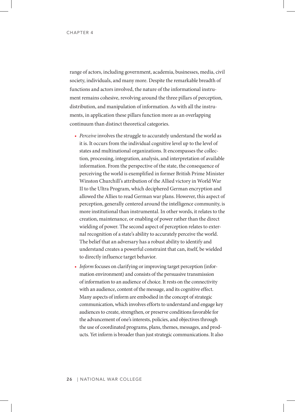range of actors, including government, academia, businesses, media, civil society, individuals, and many more. Despite the remarkable breadth of functions and actors involved, the nature of the informational instrument remains cohesive, revolving around the three pillars of perception, distribution, and manipulation of information. As with all the instruments, in application these pillars function more as an overlapping continuum than distinct theoretical categories.

- *Perceive* involves the struggle to accurately understand the world as it is. It occurs from the individual cognitive level up to the level of states and multinational organizations. It encompasses the collection, processing, integration, analysis, and interpretation of available information. From the perspective of the state, the consequence of perceiving the world is exemplified in former British Prime Minister Winston Churchill's attribution of the Allied victory in World War II to the Ultra Program, which deciphered German encryption and allowed the Allies to read German war plans. However, this aspect of perception, generally centered around the intelligence community, is more institutional than instrumental. In other words, it relates to the creation, maintenance, or enabling of power rather than the direct wielding of power. The second aspect of perception relates to external recognition of a state's ability to accurately perceive the world. The belief that an adversary has a robust ability to identify and understand creates a powerful constraint that can, itself, be wielded to directly influence target behavior.
- *Inform* focuses on clarifying or improving target perception (information environment) and consists of the persuasive transmission of information to an audience of choice. It rests on the connectivity with an audience, content of the message, and its cognitive effect. Many aspects of inform are embodied in the concept of strategic communication, which involves efforts to understand and engage key audiences to create, strengthen, or preserve conditions favorable for the advancement of one's interests, policies, and objectives through the use of coordinated programs, plans, themes, messages, and products. Yet inform is broader than just strategic communications. It also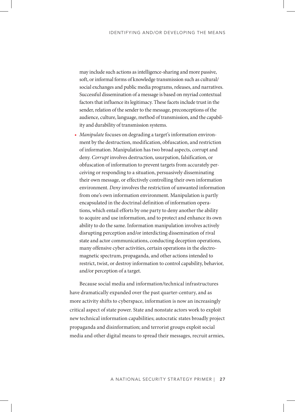may include such actions as intelligence-sharing and more passive, soft, or informal forms of knowledge transmission such as cultural/ social exchanges and public media programs, releases, and narratives. Successful dissemination of a message is based on myriad contextual factors that influence its legitimacy. These facets include trust in the sender, relation of the sender to the message, preconceptions of the audience, culture, language, method of transmission, and the capability and durability of transmission systems.

• *Manipulate* focuses on degrading a target's information environment by the destruction, modification, obfuscation, and restriction of information. Manipulation has two broad aspects, corrupt and deny. *Corrupt* involves destruction, usurpation, falsification, or obfuscation of information to prevent targets from accurately perceiving or responding to a situation, persuasively disseminating their own message, or effectively controlling their own information environment. *Deny* involves the restriction of unwanted information from one's own information environment. Manipulation is partly encapsulated in the doctrinal definition of information operations, which entail efforts by one party to deny another the ability to acquire and use information, and to protect and enhance its own ability to do the same. Information manipulation involves actively disrupting perception and/or interdicting dissemination of rival state and actor communications, conducting deception operations, many offensive cyber activities, certain operations in the electromagnetic spectrum, propaganda, and other actions intended to restrict, twist, or destroy information to control capability, behavior, and/or perception of a target.

Because social media and information/technical infrastructures have dramatically expanded over the past quarter-century, and as more activity shifts to cyberspace, information is now an increasingly critical aspect of state power. State and nonstate actors work to exploit new technical information capabilities; autocratic states broadly project propaganda and disinformation; and terrorist groups exploit social media and other digital means to spread their messages, recruit armies,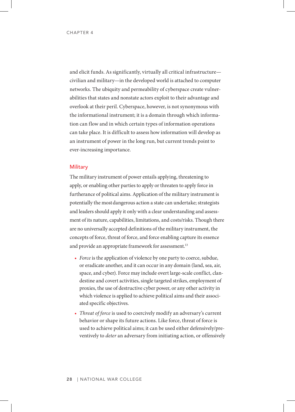and elicit funds. As significantly, virtually all critical infrastructure civilian and military—in the developed world is attached to computer networks. The ubiquity and permeability of cyberspace create vulnerabilities that states and nonstate actors exploit to their advantage and overlook at their peril. Cyberspace, however, is not synonymous with the informational instrument; it is a domain through which information can flow and in which certain types of information operations can take place. It is difficult to assess how information will develop as an instrument of power in the long run, but current trends point to ever-increasing importance.

### **Military**

The military instrument of power entails applying, threatening to apply, or enabling other parties to apply or threaten to apply force in furtherance of political aims. Application of the military instrument is potentially the most dangerous action a state can undertake; strategists and leaders should apply it only with a clear understanding and assessment of its nature, capabilities, limitations, and costs/risks. Though there are no universally accepted definitions of the military instrument, the concepts of force, threat of force, and force enabling capture its essence and provide an appropriate framework for assessment. 13

- *Force* is the application of violence by one party to coerce, subdue, or eradicate another, and it can occur in any domain (land, sea, air, space, and cyber). Force may include overt large-scale conflict, clandestine and covert activities, single targeted strikes, employment of proxies, the use of destructive cyber power, or any other activity in which violence is applied to achieve political aims and their associated specific objectives.
- *Threat of force* is used to coercively modify an adversary's current behavior or shape its future actions. Like force, threat of force is used to achieve political aims; it can be used either defensively/preventively to *deter* an adversary from initiating action, or offensively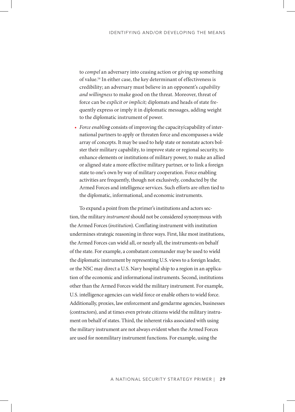to *compel* an adversary into ceasing action or giving up something of value. <sup>14</sup> In either case, the key determinant of effectiveness is credibility; an adversary must believe in an opponent's *capability and willingness* to make good on the threat. Moreover, threat of force can be *explicit or implicit;* diplomats and heads of state frequently express or imply it in diplomatic messages, adding weight to the diplomatic instrument of power.

• *Force enabling* consists of improving the capacity/capability of international partners to apply or threaten force and encompasses a wide array of concepts. It may be used to help state or nonstate actors bolster their military capability, to improve state or regional security, to enhance elements or institutions of military power, to make an allied or aligned state a more effective military partner, or to link a foreign state to one's own by way of military cooperation. Force enabling activities are frequently, though not exclusively, conducted by the Armed Forces and intelligence services. Such efforts are often tied to the diplomatic, informational, and economic instruments.

To expand a point from the primer's institutions and actors section, the military *instrument* should not be considered synonymous with the Armed Forces (*institution*). Conflating instrument with institution undermines strategic reasoning in three ways. First, like most institutions, the Armed Forces can wield all, or nearly all, the instruments on behalf of the state. For example, a combatant commander may be used to wield the diplomatic instrument by representing U.S. views to a foreign leader, or the NSC may direct a U.S. Navy hospital ship to a region in an application of the economic and informational instruments. Second, institutions other than the Armed Forces wield the military instrument. For example, U.S. intelligence agencies can wield force or enable others to wield force. Additionally, proxies, law enforcement and gendarme agencies, businesses (contractors), and at times even private citizens wield the military instrument on behalf of states. Third, the inherent risks associated with using the military instrument are not always evident when the Armed Forces are used for nonmilitary instrument functions. For example, using the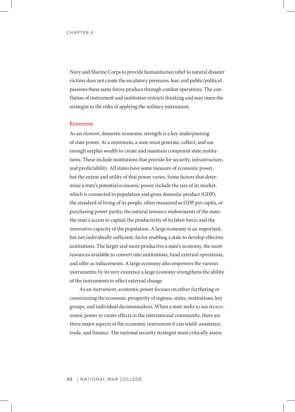Navy and Marine Corps to provide humanitarian relief to natural disaster victims does not create the escalatory pressures, fear, and public/political passions these same forces produce through combat operations. The conflation of instrument and institution restricts thinking and may inure the strategist to the risks of applying the military instrument.

#### Economic

As an *element*, domestic economic strength is a key underpinning of state power. At a minimum, a state must generate, collect, and use enough surplus wealth to create and maintain competent state institutions. These include institutions that provide for security, infrastructure, and predictability. All states have some measure of economic power, but the extent and utility of that power varies. Some factors that determine a state's potential economic power include the size of its market, which is connected to population and gross domestic product (GDP); the standard of living of its people, often measured as GDP per capita, or purchasing power parity; the natural resource endowments of the state; the state's access to capital; the productivity of its labor force; and the innovative capacity of the population. A large economy is an important, but not individually sufficient, factor enabling a state to develop effective institutions. The larger and more productive a state's economy, the more resources available to convert into institutions, fund external operations, and offer as inducements. A large economy also empowers the various instruments; by its very existence a large economy strengthens the ability of the instruments to effect external change.

As an *instrument*, economic power focuses on either furthering or constraining the economic prosperity of regions, states, institutions, key groups, and individual decisionmakers. When a state seeks to use its economic power to create effects in the international community, there are three major aspects of the economic instrument it can wield: assistance, trade, and finance. The national security strategist must critically assess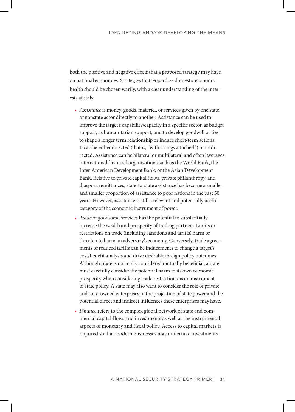both the positive and negative effects that a proposed strategy may have on national economies. Strategies that jeopardize domestic economic health should be chosen warily, with a clear understanding of the interests at stake.

- *Assistance* is money, goods, materiel, or services given by one state or nonstate actor directly to another. Assistance can be used to improve the target's capability/capacity in a specific sector, as budget support, as humanitarian support, and to develop goodwill or ties to shape a longer term relationship or induce short-term actions. It can be either directed (that is, "with strings attached") or undirected. Assistance can be bilateral or multilateral and often leverages international financial organizations such as the World Bank, the Inter-American Development Bank, or the Asian Development Bank. Relative to private capital flows, private philanthropy, and diaspora remittances, state-to-state assistance has become a smaller and smaller proportion of assistance to poor nations in the past 50 years. However, assistance is still a relevant and potentially useful category of the economic instrument of power.
- *Trade* of goods and services has the potential to substantially increase the wealth and prosperity of trading partners. Limits or restrictions on trade (including sanctions and tariffs) harm or threaten to harm an adversary's economy. Conversely, trade agreements or reduced tariffs can be inducements to change a target's cost/benefit analysis and drive desirable foreign policy outcomes. Although trade is normally considered mutually beneficial, a state must carefully consider the potential harm to its own economic prosperity when considering trade restrictions as an instrument of state policy. A state may also want to consider the role of private and state-owned enterprises in the projection of state power and the potential direct and indirect influences these enterprises may have.
- *Finance* refers to the complex global network of state and commercial capital flows and investments as well as the instrumental aspects of monetary and fiscal policy. Access to capital markets is required so that modern businesses may undertake investments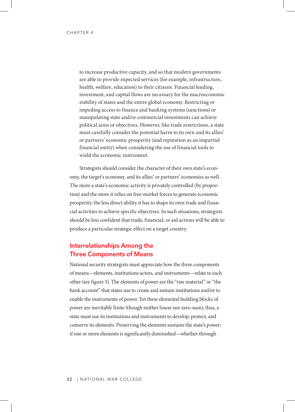to increase productive capacity, and so that modern governments are able to provide expected services (for example, infrastructure, health, welfare, education) to their citizens. Financial lending, investment, and capital flows are necessary for the macroeconomic stability of states and the entire global economy. Restricting or impeding access to finance and banking systems (sanctions) or manipulating state and/or commercial investments can achieve political aims or objectives. However, like trade restrictions, a state must carefully consider the potential harm to its own and its allies' or partners' economic prosperity (and reputation as an impartial financial entity) when considering the use of financial tools to wield the economic instrument.

Strategists should consider the character of their own state's economy, the target's economy, and its allies' or partners' economies as well. The more a state's economic activity is privately controlled (by proportion) and the more it relies on free-market forces to generate economic prosperity, the less direct ability it has to shape its own trade and financial activities to achieve specific objectives. In such situations, strategists should be less confident that trade, financial, or aid actions will be able to produce a particular strategic effect on a target country.

# Interrelationships Among the Three Components of Means

National security strategists must appreciate how the three components of means—elements, institutions actors, and instruments—relate to each other (see figure 5). The elements of power are the "raw material" or "the bank account" that states use to create and sustain institutions and/or to enable the instruments of power. Yet these elemental building blocks of power are inevitably finite (though neither linear nor zero-sum); thus, a state must use its institutions and instruments to develop, protect, and conserve its elements. Preserving the elements sustains the state's power; if one or more elements is significantly diminished—whether through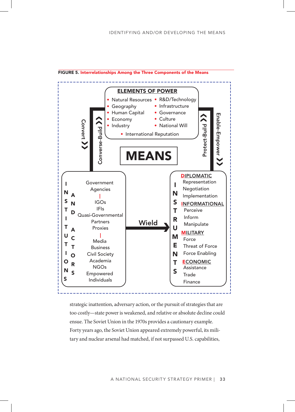

FIGURE 5. Interrelationships Among the Three Components of the Means

strategic inattention, adversary action, or the pursuit of strategies that are too costly—state power is weakened, and relative or absolute decline could ensue. The Soviet Union in the 1970s provides a cautionary example. Forty years ago, the Soviet Union appeared extremely powerful, its military and nuclear arsenal had matched, if not surpassed U.S. capabilities,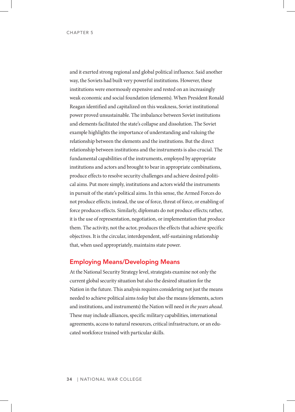and it exerted strong regional and global political influence. Said another way, the Soviets had built very powerful institutions. However, these institutions were enormously expensive and rested on an increasingly weak economic and social foundation (elements). When President Ronald Reagan identified and capitalized on this weakness, Soviet institutional power proved unsustainable. The imbalance between Soviet institutions and elements facilitated the state's collapse and dissolution. The Soviet example highlights the importance of understanding and valuing the relationship between the elements and the institutions. But the direct relationship between institutions and the instruments is also crucial. The fundamental capabilities of the instruments, employed by appropriate institutions and actors and brought to bear in appropriate combinations, produce effects to resolve security challenges and achieve desired political aims. Put more simply, institutions and actors wield the instruments in pursuit of the state's political aims. In this sense, the Armed Forces do not produce effects; instead, the use of force, threat of force, or enabling of force produces effects. Similarly, diplomats do not produce effects; rather, it is the use of representation, negotiation, or implementation that produce them. The activity, not the actor, produces the effects that achieve specific objectives. It is the circular, interdependent, self-sustaining relationship that, when used appropriately, maintains state power.

## Employing Means/Developing Means

At the National Security Strategy level, strategists examine not only the current global security situation but also the desired situation for the Nation in the future. This analysis requires considering not just the means needed to achieve political aims *today* but also the means (elements, actors and institutions, and instruments) the Nation will need *in the years ahead*. These may include alliances, specific military capabilities, international agreements, access to natural resources, critical infrastructure, or an educated workforce trained with particular skills.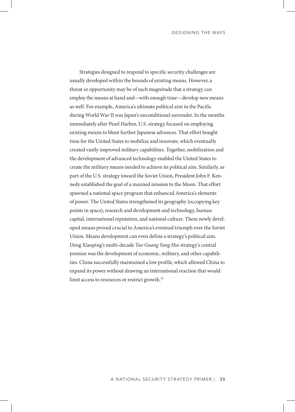DESIGNING THE WAYS

Strategies designed to respond to specific security challenges are usually developed within the bounds of existing means. However, a threat or opportunity may be of such magnitude that a strategy can employ the means at hand and—with enough time—develop new means as well. For example, America's ultimate political aim in the Pacific during World War II was Japan's unconditional surrender. In the months immediately after Pearl Harbor, U.S. strategy focused on employing existing means to blunt further Japanese advances. That effort bought time for the United States to mobilize and innovate, which eventually created vastly improved military capabilities. Together, mobilization and the development of advanced technology enabled the United States to create the military means needed to achieve its political aim. Similarly, as part of the U.S. strategy toward the Soviet Union, President John F. Kennedy established the goal of a manned mission to the Moon. That effort spawned a national space program that enhanced America's elements of power. The United States strengthened its geography (occupying key points in space), research and development and technology, human capital, international reputation, and national culture. These newly developed means proved crucial to America's eventual triumph over the Soviet Union. Means development can even define a strategy's political aim. Deng Xiaoping's multi-decade *Tao Guang Yang Hui* strategy's central premise was the development of economic, military, and other capabilities. China successfully maintained a low profile, which allowed China to expand its power without drawing an international reaction that would limit access to resources or restrict growth. 15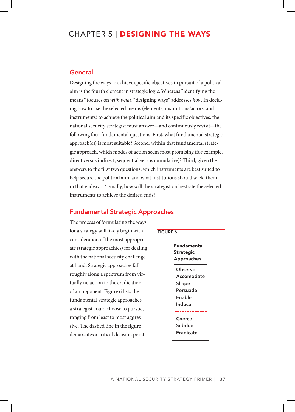# CHAPTER 5 | DESIGNING THE WAYS

## General

Designing the ways to achieve specific objectives in pursuit of a political aim is the fourth element in strategic logic. Whereas "identifying the means" focuses on *with what*, "designing ways" addresses *how*. In deciding how to use the selected means (elements, institutions/actors, and instruments) to achieve the political aim and its specific objectives, the national security strategist must answer—and continuously revisit—the following four fundamental questions. First, what fundamental strategic approach(es) is most suitable? Second, within that fundamental strategic approach, which modes of action seem most promising (for example, direct versus indirect, sequential versus cumulative)? Third, given the answers to the first two questions, which instruments are best suited to help secure the political aim, and what institutions should wield them in that endeavor? Finally, how will the strategist orchestrate the selected instruments to achieve the desired ends?

# Fundamental Strategic Approaches

The process of formulating the ways for a strategy will likely begin with consideration of the most appropriate strategic approach(es) for dealing with the national security challenge at hand. Strategic approaches fall roughly along a spectrum from virtually no action to the eradication of an opponent. Figure 6 lists the fundamental strategic approaches a strategist could choose to pursue, ranging from least to most aggressive. The dashed line in the figure demarcates a critical decision point

## FIGURE 6.

Fundamental Strategic Approaches **Observe** Accomodate Shape Persuade Enable Induce Coerce Subdue Eradicate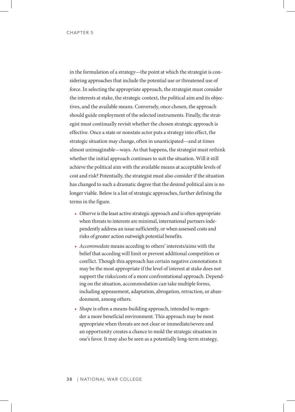in the formulation of a strategy—the point at which the strategist is considering approaches that include the potential use or threatened use of force. In selecting the appropriate approach, the strategist must consider the interests at stake, the strategic context, the political aim and its objectives, and the available means. Conversely, once chosen, the approach should guide employment of the selected instruments. Finally, the strategist must continually revisit whether the chosen strategic approach is effective. Once a state or nonstate actor puts a strategy into effect, the strategic situation may change, often in unanticipated—and at times almost unimaginable—ways. As that happens, the strategist must rethink whether the initial approach continues to suit the situation. Will it still achieve the political aim with the available means at acceptable levels of cost and risk? Potentially, the strategist must also consider if the situation has changed to such a dramatic degree that the desired political aim is no longer viable. Below is a list of strategic approaches, further defining the terms in the figure.

- *Observe* is the least active strategic approach and is often appropriate when threats to interests are minimal, international partners independently address an issue sufficiently, or when assessed costs and risks of greater action outweigh potential benefits.
- *Accommodate* means acceding to others' interests/aims with the belief that acceding will limit or prevent additional competition or conflict. Though this approach has certain negative connotations it may be the most appropriate if the level of interest at stake does not support the risks/costs of a more confrontational approach. Depending on the situation, accommodation can take multiple forms, including appeasement, adaptation, abrogation, retraction, or abandonment, among others.
- *Shape* is often a means-building approach, intended to engender a more beneficial environment. This approach may be most appropriate when threats are not clear or immediate/severe and an opportunity creates a chance to mold the strategic situation in one's favor. It may also be seen as a potentially long-term strategy,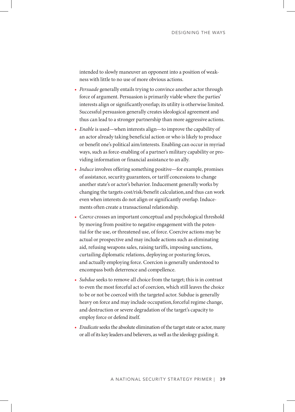intended to slowly maneuver an opponent into a position of weakness with little to no use of more obvious actions.

- *Persuade* generally entails trying to convince another actor through force of argument. Persuasion is primarily viable where the parties' interests align or significantly overlap; its utility is otherwise limited. Successful persuasion generally creates ideological agreement and thus can lead to a stronger partnership than more aggressive actions.
- *Enable* is used—when interests align—to improve the capability of an actor already taking beneficial action or who is likely to produce or benefit one's political aim/interests. Enabling can occur in myriad ways, such as force-enabling of a partner's military capability or providing information or financial assistance to an ally.
- *Induce* involves offering something positive—for example, promises of assistance, security guarantees, or tariff concessions to change another state's or actor's behavior. Inducement generally works by changing the targets cost/risk/benefit calculation, and thus can work even when interests do not align or significantly overlap. Inducements often create a transactional relationship.
- *Coerce* crosses an important conceptual and psychological threshold by moving from positive to negative engagement with the potential for the use, or threatened use, of force. Coercive actions may be actual or prospective and may include actions such as eliminating aid, refusing weapons sales, raising tariffs, imposing sanctions, curtailing diplomatic relations, deploying or posturing forces, and actually employing force. Coercion is generally understood to encompass both deterrence and compellence.
- *Subdue* seeks to remove all choice from the target; this is in contrast to even the most forceful act of coercion, which still leaves the choice to be or not be coerced with the targeted actor. Subdue is generally heavy on force and may include occupation, forceful regime change, and destruction or severe degradation of the target's capacity to employ force or defend itself.
- *Eradicate* seeks the absolute elimination of the target state or actor, many or all of its key leaders and believers, as well as the ideology guiding it.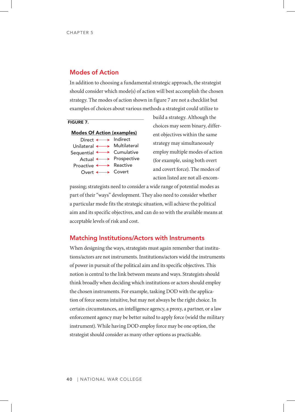## Modes of Action

In addition to choosing a fundamental strategic approach, the strategist should consider which mode(s) of action will best accomplish the chosen strategy. The modes of action shown in figure 7 are not a checklist but examples of choices about various methods a strategist could utilize to

## FIGURE 7.



build a strategy. Although the choices may seem binary, different objectives within the same strategy may simultaneously employ multiple modes of action (for example, using both overt and covert force). The modes of action listed are not all-encom-

passing; strategists need to consider a wide range of potential modes as part of their "ways" development. They also need to consider whether a particular mode fits the strategic situation, will achieve the political aim and its specific objectives, and can do so with the available means at acceptable levels of risk and cost.

## Matching Institutions/Actors with Instruments

When designing the ways, strategists must again remember that institutions/actors are not instruments. Institutions/actors wield the instruments of power in pursuit of the political aim and its specific objectives. This notion is central to the link between means and ways. Strategists should think broadly when deciding which institutions or actors should employ the chosen instruments. For example, tasking DOD with the application of force seems intuitive, but may not always be the right choice. In certain circumstances, an intelligence agency, a proxy, a partner, or a law enforcement agency may be better suited to apply force (wield the military instrument). While having DOD employ force may be one option, the strategist should consider as many other options as practicable.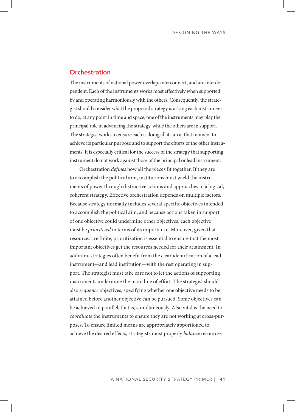## **Orchestration**

The instruments of national power overlap, interconnect, and are interdependent. Each of the instruments works most effectively when supported by and operating harmoniously with the others. Consequently, the strategist should consider what the proposed strategy is asking each instrument to do; at any point in time and space, one of the instruments may play the principal role in advancing the strategy, while the others are in support. The strategist works to ensure each is doing all it can at that moment to achieve its particular purpose and to support the efforts of the other instruments. It is especially critical for the success of the strategy that supporting instrument do not work against those of the principal or lead instrument.

Orchestration *defines* how all the pieces fit together. If they are to accomplish the political aim, institutions must wield the instruments of power through distinctive actions and approaches in a logical, coherent strategy. Effective orchestration depends on multiple factors. Because strategy normally includes several specific objectives intended to accomplish the political aim, and because actions taken in support of one objective could undermine other objectives, each objective must be *prioritized* in terms of its importance. Moreover, given that resources are finite, prioritization is essential to ensure that the most important objectives get the resources needed for their attainment. In addition, strategies often benefit from the clear identification of a lead instrument—and lead institution—with the rest operating in support. The strategist must take care not to let the actions of supporting instruments undermine the main line of effort. The strategist should also *sequence* objectives, specifying whether one objective needs to be attained before another objective can be pursued. Some objectives can be achieved in parallel, that is, simultaneously. Also vital is the need to *coordinate* the instruments to ensure they are not working at cross-purposes. To ensure limited means are appropriately apportioned to achieve the desired effects, strategists must properly *balance* resources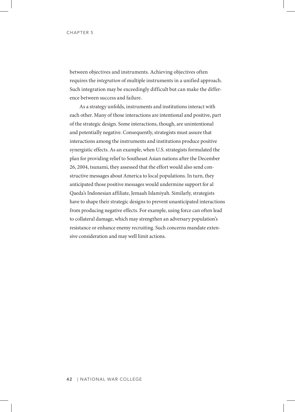between objectives and instruments. Achieving objectives often requires the *integration* of multiple instruments in a unified approach. Such integration may be exceedingly difficult but can make the difference between success and failure.

As a strategy unfolds, instruments and institutions interact with each other. Many of those interactions are intentional and positive, part of the strategic design. Some interactions, though, are unintentional and potentially negative. Consequently, strategists must assure that interactions among the instruments and institutions produce positive synergistic effects. As an example, when U.S. strategists formulated the plan for providing relief to Southeast Asian nations after the December 26, 2004, tsunami, they assessed that the effort would also send constructive messages about America to local populations. In turn, they anticipated those positive messages would undermine support for al Qaeda's Indonesian affiliate, Jemaah Islamiyah. Similarly, strategists have to shape their strategic designs to prevent unanticipated interactions from producing negative effects. For example, using force can often lead to collateral damage, which may strengthen an adversary population's resistance or enhance enemy recruiting. Such concerns mandate extensive consideration and may well limit actions.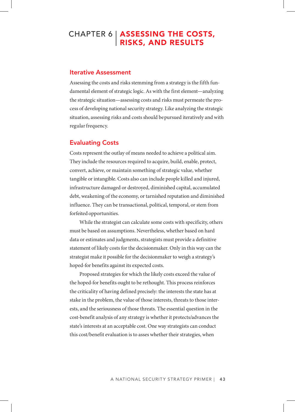# CHAPTER 6 | **ASSESSING THE COSTS,** RISKS, AND RESULTS

## Iterative Assessment

Assessing the costs and risks stemming from a strategy is the fifth fundamental element of strategic logic. As with the first element—analyzing the strategic situation—assessing costs and risks must permeate the process of developing national security strategy. Like analyzing the strategic situation, assessing risks and costs should be pursued iteratively and with regular frequency.

## Evaluating Costs

Costs represent the outlay of means needed to achieve a political aim. They include the resources required to acquire, build, enable, protect, convert, achieve, or maintain something of strategic value, whether tangible or intangible. Costs also can include people killed and injured, infrastructure damaged or destroyed, diminished capital, accumulated debt, weakening of the economy, or tarnished reputation and diminished influence. They can be transactional, political, temporal, or stem from forfeited opportunities.

While the strategist can calculate some costs with specificity, others must be based on assumptions. Nevertheless, whether based on hard data or estimates and judgments, strategists must provide a definitive statement of likely costs for the decisionmaker. Only in this way can the strategist make it possible for the decisionmaker to weigh a strategy's hoped-for benefits against its expected costs.

Proposed strategies for which the likely costs exceed the value of the hoped-for benefits ought to be rethought. This process reinforces the criticality of having defined precisely: the interests the state has at stake in the problem, the value of those interests, threats to those interests, and the seriousness of those threats. The essential question in the cost-benefit analysis of any strategy is whether it protects/advances the state's interests at an acceptable cost. One way strategists can conduct this cost/benefit evaluation is to asses whether their strategies, when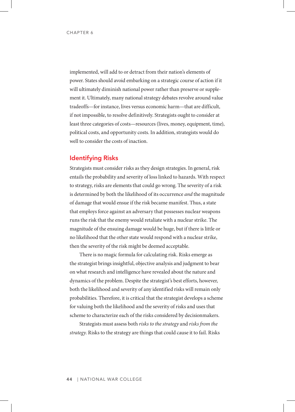implemented, will add to or detract from their nation's elements of power. States should avoid embarking on a strategic course of action if it will ultimately diminish national power rather than preserve or supplement it. Ultimately, many national strategy debates revolve around value tradeoffs—for instance, lives versus economic harm—that are difficult, if not impossible, to resolve definitively. Strategists ought to consider at least three categories of costs—resources (lives, money, equipment, time), political costs, and opportunity costs. In addition, strategists would do well to consider the costs of inaction.

# Identifying Risks

Strategists must consider risks as they design strategies. In general, risk entails the probability and severity of loss linked to hazards. With respect to strategy, risks are elements that could go wrong. The severity of a risk is determined by both the likelihood of its occurrence *and* the magnitude of damage that would ensue if the risk became manifest. Thus, a state that employs force against an adversary that possesses nuclear weapons runs the risk that the enemy would retaliate with a nuclear strike. The magnitude of the ensuing damage would be huge, but if there is little or no likelihood that the other state would respond with a nuclear strike, then the severity of the risk might be deemed acceptable.

There is no magic formula for calculating risk. Risks emerge as the strategist brings insightful, objective analysis and judgment to bear on what research and intelligence have revealed about the nature and dynamics of the problem. Despite the strategist's best efforts, however, both the likelihood and severity of any identified risks will remain only probabilities. Therefore, it is critical that the strategist develops a scheme for valuing both the likelihood and the severity of risks and uses that scheme to characterize each of the risks considered by decisionmakers.

Strategists must assess both *risks to the strategy* and *risks from the strategy*. Risks to the strategy are things that could cause it to fail. Risks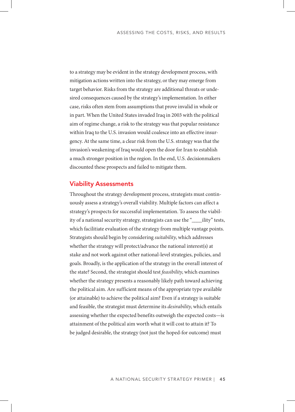to a strategy may be evident in the strategy development process, with mitigation actions written into the strategy, or they may emerge from target behavior. Risks from the strategy are additional threats or undesired consequences caused by the strategy's implementation. In either case, risks often stem from assumptions that prove invalid in whole or in part. When the United States invaded Iraq in 2003 with the political aim of regime change, a risk to the strategy was that popular resistance within Iraq to the U.S. invasion would coalesce into an effective insurgency. At the same time, a clear risk from the U.S. strategy was that the invasion's weakening of Iraq would open the door for Iran to establish a much stronger position in the region. In the end, U.S. decisionmakers discounted these prospects and failed to mitigate them.

## Viability Assessments

Throughout the strategy development process, strategists must continuously assess a strategy's overall viability. Multiple factors can affect a strategy's prospects for successful implementation. To assess the viability of a national security strategy, strategists can use the "\_\_\_\_ility" tests, which facilitiate evaluation of the strategy from multiple vantage points. Strategists should begin by considering *suitability*, which addresses whether the strategy will protect/advance the national interest(s) at stake and not work against other national-level strategies, policies, and goals. Broadly, is the application of the strategy in the overall interest of the state? Second, the strategist should test *feasibility*, which examines whether the strategy presents a reasonably likely path toward achieving the political aim. Are sufficient means of the appropriate type available (or attainable) to achieve the political aim? Even if a strategy is suitable and feasible, the strategist must determine its *desirability*, which entails assessing whether the expected benefits outweigh the expected costs—is attainment of the political aim worth what it will cost to attain it? To be judged desirable, the strategy (not just the hoped-for outcome) must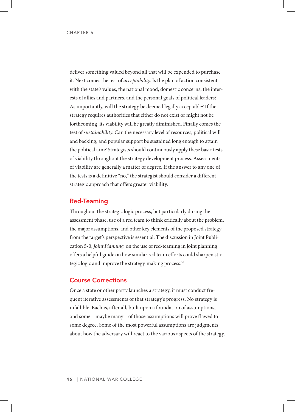deliver something valued beyond all that will be expended to purchase it. Next comes the test of *acceptability*. Is the plan of action consistent with the state's values, the national mood, domestic concerns, the interests of allies and partners, and the personal goals of political leaders? As importantly, will the strategy be deemed legally acceptable? If the strategy requires authorities that either do not exist or might not be forthcoming, its viability will be greatly diminished. Finally comes the test of *sustainability*. Can the necessary level of resources, political will and backing, and popular support be sustained long enough to attain the political aim? Strategists should continuously apply these basic tests of viability throughout the strategy development process. Assessments of viability are generally a matter of degree. If the answer to any one of the tests is a definitive "no," the strategist should consider a different strategic approach that offers greater viability.

## Red-Teaming

Throughout the strategic logic process, but particularly during the assessment phase, use of a red team to think critically about the problem, the major assumptions, and other key elements of the proposed strategy from the target's perspective is essential. The discussion in Joint Publication 5-0, *Joint Planning,* on the use of red-teaming in joint planning offers a helpful guide on how similar red team efforts could sharpen strategic logic and improve the strategy-making process. 16

## Course Corrections

Once a state or other party launches a strategy, it must conduct frequent iterative assessments of that strategy's progress. No strategy is infallible. Each is, after all, built upon a foundation of assumptions, and some—maybe many—of those assumptions will prove flawed to some degree. Some of the most powerful assumptions are judgments about how the adversary will react to the various aspects of the strategy.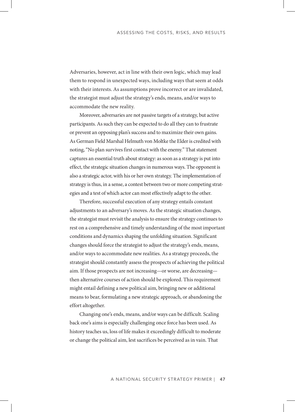Adversaries, however, act in line with their own logic, which may lead them to respond in unexpected ways, including ways that seem at odds with their interests. As assumptions prove incorrect or are invalidated, the strategist must adjust the strategy's ends, means, and/or ways to accommodate the new reality.

Moreover, adversaries are not passive targets of a strategy, but active participants. As such they can be expected to do all they can to frustrate or prevent an opposing plan's success and to maximize their own gains. As German Field Marshal Helmuth von Moltke the Elder is credited with noting, "No plan survives first contact with the enemy*.*" That statement captures an essential truth about strategy: as soon as a strategy is put into effect, the strategic situation changes in numerous ways. The opponent is also a strategic actor, with his or her own strategy. The implementation of strategy is thus, in a sense, a contest between two or more competing strategies and a test of which actor can most effectively adapt to the other.

Therefore, successful execution of any strategy entails constant adjustments to an adversary's moves. As the strategic situation changes, the strategist must revisit the analysis to ensure the strategy continues to rest on a comprehensive and timely understanding of the most important conditions and dynamics shaping the unfolding situation. Significant changes should force the strategist to adjust the strategy's ends, means, and/or ways to accommodate new realities. As a strategy proceeds, the strategist should constantly assess the prospects of achieving the political aim. If those prospects are not increasing—or worse, are decreasing then alternative courses of action should be explored. This requirement might entail defining a new political aim, bringing new or additional means to bear, formulating a new strategic approach, or abandoning the effort altogether.

Changing one's ends, means, and/or ways can be difficult. Scaling back one's aims is especially challenging once force has been used. As history teaches us, loss of life makes it exceedingly difficult to moderate or change the political aim, lest sacrifices be perceived as in vain. That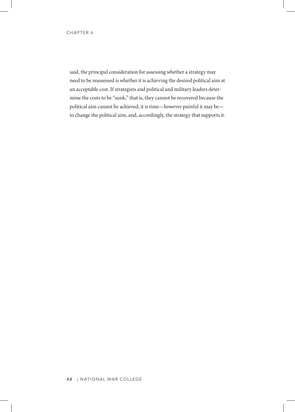said, the principal consideration for assessing whether a strategy may need to be reassessed is whether it is achieving the desired political aim at an acceptable cost. If strategists and political and military leaders determine the costs to be "sunk," that is, they cannot be recovered because the political aim cannot be achieved, it is time—however painful it may be to change the political aim, and, accordingly, the strategy that supports it.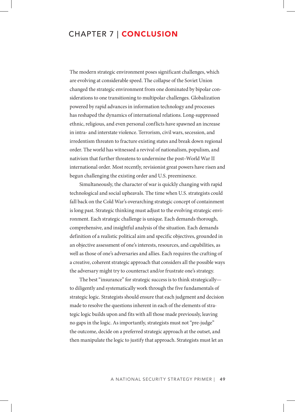# CHAPTER 7 | CONCLUSION

The modern strategic environment poses significant challenges, which are evolving at considerable speed. The collapse of the Soviet Union changed the strategic environment from one dominated by bipolar considerations to one transitioning to multipolar challenges. Globalization powered by rapid advances in information technology and processes has reshaped the dynamics of international relations. Long-suppressed ethnic, religious, and even personal conflicts have spawned an increase in intra- and interstate violence. Terrorism, civil wars, secession, and irredentism threaten to fracture existing states and break down regional order. The world has witnessed a revival of nationalism, populism, and nativism that further threatens to undermine the post–World War II international order. Most recently, revisionist great powers have risen and begun challenging the existing order and U.S. preeminence.

Simultaneously, the character of war is quickly changing with rapid technological and social upheavals. The time when U.S. strategists could fall back on the Cold War's overarching strategic concept of containment is long past. Strategic thinking must adjust to the evolving strategic environment. Each strategic challenge is unique. Each demands thorough, comprehensive, and insightful analysis of the situation. Each demands definition of a realistic political aim and specific objectives, grounded in an objective assessment of one's interests, resources, and capabilities, as well as those of one's adversaries and allies. Each requires the crafting of a creative, coherent strategic approach that considers all the possible ways the adversary might try to counteract and/or frustrate one's strategy.

The best "insurance" for strategic success is to think strategically to diligently and systematically work through the five fundamentals of strategic logic. Strategists should ensure that each judgment and decision made to resolve the questions inherent in each of the elements of strategic logic builds upon and fits with all those made previously, leaving no gaps in the logic. As importantly, strategists must not "pre-judge" the outcome, decide on a preferred strategic approach at the outset, and then manipulate the logic to justify that approach. Strategists must let an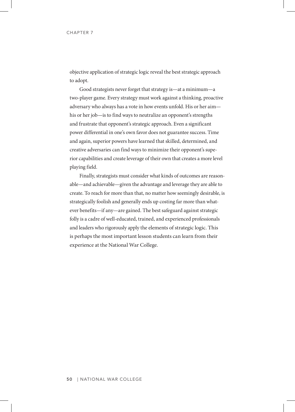objective application of strategic logic reveal the best strategic approach to adopt.

Good strategists never forget that strategy is—at a minimum—a two-player game. Every strategy must work against a thinking, proactive adversary who always has a vote in how events unfold. His or her aim his or her job—is to find ways to neutralize an opponent's strengths and frustrate that opponent's strategic approach. Even a significant power differential in one's own favor does not guarantee success. Time and again, superior powers have learned that skilled, determined, and creative adversaries can find ways to minimize their opponent's superior capabilities and create leverage of their own that creates a more level playing field.

Finally, strategists must consider what kinds of outcomes are reasonable—and achievable—given the advantage and leverage they are able to create. To reach for more than that, no matter how seemingly desirable, is strategically foolish and generally ends up costing far more than whatever benefits—if any—are gained. The best safeguard against strategic folly is a cadre of well-educated, trained, and experienced professionals and leaders who rigorously apply the elements of strategic logic. This is perhaps the most important lesson students can learn from their experience at the National War College.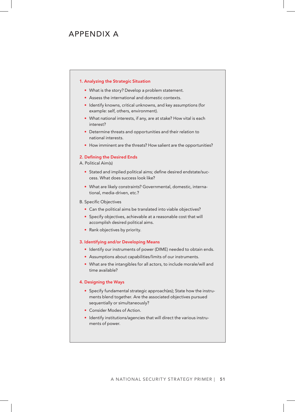# APPENDIX A

#### 1. Analyzing the Strategic Situation

- What is the story? Develop a problem statement.
- Assess the international and domestic contexts.
- Identify knowns, critical unknowns, and key assumptions (for example: self, others, environment).
- What national interests, if any, are at stake? How vital is each interest?
- Determine threats and opportunities and their relation to national interests.
- How imminent are the threats? How salient are the opportunities?

#### 2. Defining the Desired Ends

- A. Political Aim(s)
	- Stated and implied political aims; define desired endstate/success. What does success look like?
	- What are likely constraints? Governmental, domestic, international, media-driven, etc.?
- B. Specific Objectives
	- Can the political aims be translated into viable objectives?
	- Specify objectives, achievable at a reasonable cost that will accomplish desired political aims.
	- Rank objectives by priority.

#### 3. Identifying and/or Developing Means

- Identify our instruments of power (DIME) needed to obtain ends.
- Assumptions about capabilities/limits of our instruments.
- What are the intangibles for all actors, to include morale/will and time available?

#### 4. Designing the Ways

- Specify fundamental strategic approach(es); State how the instruments blend together. Are the associated objectives pursued sequentially or simultaneously?
- Consider Modes of Action.
- Identify institutions/agencies that will direct the various instruments of power.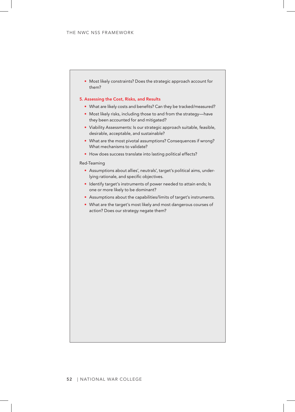• Most likely constraints? Does the strategic approach account for them?

#### 5. Assessing the Cost, Risks, and Results

- What are likely costs and benefits? Can they be tracked/measured?
- Most likely risks, including those to and from the strategy—have they been accounted for and mitigated?
- Viability Assessments: Is our strategic approach suitable, feasible, desirable, acceptable, and sustainable?
- What are the most pivotal assumptions? Consequences if wrong? What mechanisms to validate?
- How does success translate into lasting political effects?

#### Red-Teaming

- Assumptions about allies', neutrals', target's political aims, underlying rationale, and specific objectives.
- Identify target's instruments of power needed to attain ends; Is one or more likely to be dominant?
- Assumptions about the capabilities/limits of target's instruments.
- What are the target's most likely and most dangerous courses of action? Does our strategy negate them?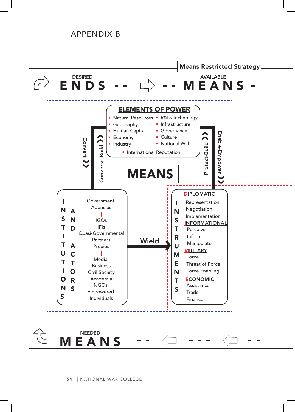# APPENDIX B

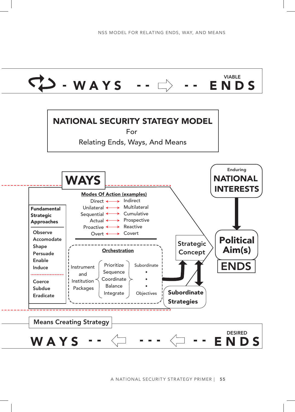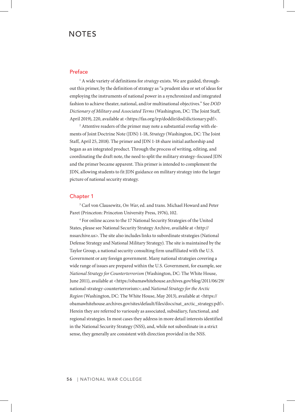# **NOTES**

### Preface

<sup>1</sup> A wide variety of definitions for *strategy* exists. We are guided, throughout this primer, by the definition of strategy as "a prudent idea or set of ideas for employing the instruments of national power in a synchronized and integrated fashion to achieve theater, national, and/or multinational objectives." See *DOD Dictionary of Military and Associated Terms* (Washington, DC: The Joint Staff, April 2019), 220, available at <https://fas.org/irp/doddir/dod/dictionary.pdf>.

<sup>2</sup> Attentive readers of the primer may note a substantial overlap with elements of Joint Doctrine Note (JDN) 1-18, *Strategy* (Washington, DC: The Joint Staff, April 25, 2018). The primer and JDN 1-18 share initial authorship and began as an integrated product. Through the process of writing, editing, and coordinating the draft note, the need to split the military strategy–focused JDN and the primer became apparent. This primer is intended to complement the JDN, allowing students to fit JDN guidance on military strategy into the larger picture of national security strategy.

## Chapter 1

3 Carl von Clausewitz, *On War*, ed. and trans. Michael Howard and Peter Paret (Princeton: Princeton University Press, 1976), 102.

4 For online access to the 17 National Security Strategies of the United States, please see National Security Strategy Archive, available at <http:// nssarchive.us>. The site also includes links to subordinate strategies (National Defense Strategy and National Military Strategy). The site is maintained by the Taylor Group, a national security consulting firm unaffiliated with the U.S. Government or any foreign government. Many national strategies covering a wide range of issues are prepared within the U.S. Government, for example, see *National Strategy for Counterterrorism* (Washington, DC: The White House, June 2011), available at <https://obamawhitehouse.archives.gov/blog/2011/06/29/ national-strategy-counterterrorism>; and *National Strategy for the Arctic Region* (Washington, DC: The White House, May 2013), available at <https:// obamawhitehouse.archives.gov/sites/default/files/docs/nat\_arctic\_strategy.pdf>. Herein they are referred to variously as associated, subsidiary, functional, and regional strategies. In most cases they address in more detail interests identified in the National Security Strategy (NSS), and, while not subordinate in a strict sense, they generally are consistent with direction provided in the NSS.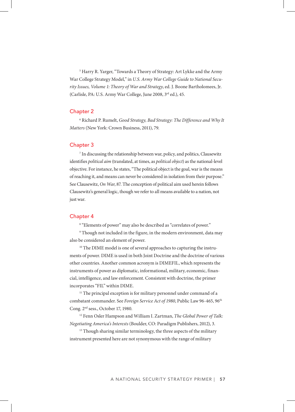5 Harry R. Yarger, "Towards a Theory of Strategy: Art Lykke and the Army War College Strategy Model," in *U.S. Army War College Guide to National Security Issues, Volume 1: Theory of War and Strategy*, ed. J. Boone Bartholomees, Jr. (Carlisle, PA: U.S. Army War College, June 2008, 3rd ed.), 45.

### Chapter 2

6 Richard P. Rumelt, *Good Strategy, Bad Strategy: The Difference and Why It Matters* (New York: Crown Business, 2011), 79.

#### Chapter 3

7 In discussing the relationship between war, policy, and politics, Clausewitz identifies *political aim* (translated, at times, as *political object*) as the national-level objective. For instance, he states, "The political object is the goal, war is the means of reaching it, and means can never be considered in isolation from their purpose." See Clausewitz, *On War*, 87. The conception of political aim used herein follows Clausewitz's general logic, though we refer to all means available to a nation, not just war.

### Chapter 4

8 "Elements of power" may also be described as "correlates of power."

9 Though not included in the figure, in the modern environment, data may also be considered an element of power.

<sup>10</sup> The DIME model is one of several approaches to capturing the instruments of power. DIME is used in both Joint Doctrine and the doctrine of various other countries. Another common acronym is DIMEFIL, which represents the instruments of power as diplomatic, informational, military, economic, financial, intelligence, and law enforcement. Consistent with doctrine, the primer incorporates "FIL" within DIME.

<sup>11</sup> The principal exception is for military personnel under command of a combatant commander. See *Foreign Service Act of 1980*, Public Law 96-465, 96th Cong. 2nd sess., October 17, 1980.

12 Fenn Osler Hampson and William I. Zartman, *The Global Power of Talk: Negotiating America's Interests* (Boulder, CO: Paradigm Publishers, 2012), 3.

<sup>13</sup> Though sharing similar terminology, the three aspects of the military instrument presented here are not synonymous with the range of military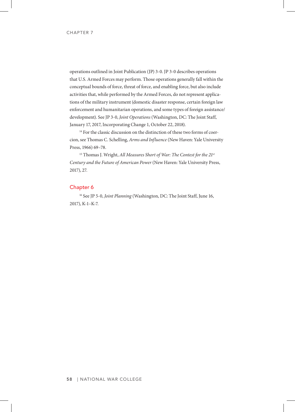operations outlined in Joint Publication (JP) 3-0. JP 3-0 describes operations that U.S. Armed Forces may perform. Those operations generally fall within the conceptual bounds of force, threat of force, and enabling force, but also include activities that, while performed by the Armed Forces, do not represent applications of the military instrument (domestic disaster response, certain foreign law enforcement and humanitarian operations, and some types of foreign assistance/ development). See JP 3-0, *Joint Operations* (Washington, DC: The Joint Staff, January 17, 2017, Incorporating Change 1, October 22, 2018).

<sup>14</sup> For the classic discussion on the distinction of these two forms of coercion, see Thomas C. Schelling, *Arms and Influence* (New Haven: Yale University Press, 1966) 69–78.

<sup>15</sup> Thomas J. Wright, *All Measures Short of War: The Contest for the 21<sup>st</sup> Century and the Future of American Power* (New Haven: Yale University Press, 2017), 27.

### Chapter 6

<sup>16</sup> See JP 5-0, *Joint Planning* (Washington, DC: The Joint Staff, June 16, 2017), K-1–K-7.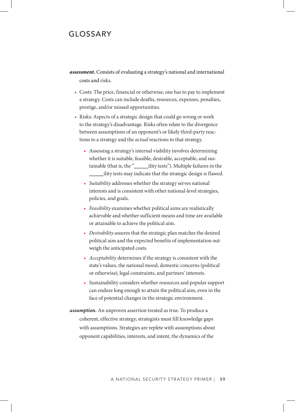# GLOSSARY

- *assessment.* Consists of evaluating a strategy's national and international costs and risks.
	- Costs: The price, financial or otherwise, one has to pay to implement a strategy. Costs can include deaths, resources, expenses, penalties, prestige, and/or missed opportunities.
	- Risks: Aspects of a strategic design that could go wrong or work to the strategy's disadvantage. Risks often relate to the divergence between assumptions of an opponent's or likely third-party reactions to a strategy and the *actual* reactions to that strategy.
		- Assessing a strategy's internal viability involves determining whether it is suitable, feasible, desirable, acceptable, and sustainable (that is, the "\_\_\_\_\_ility tests"). Multiple failures in the \_\_\_\_\_ility tests may indicate that the strategic design is flawed.
		- *• Suitability* addresses whether the strategy serves national interests and is consistent with other national-level strategies, policies, and goals.
		- *• Feasibility* examines whether political aims are realistically achievable and whether sufficient means and time are available or attainable to achieve the political aim.
		- *• Desirability* assures that the strategic plan matches the desired political aim and the expected benefits of implementation outweigh the anticipated costs.
		- *• Acceptability* determines if the strategy is consistent with the state's values, the national mood, domestic concerns (political or otherwise), legal constraints, and partners' interests.
		- Sustainability considers whether resources and popular support can endure long enough to attain the political aim, even in the face of potential changes in the strategic environment.
- *assumption.* An unproven assertion treated as true. To produce a coherent, effective strategy, strategists must fill knowledge gaps with assumptions. Strategies are replete with assumptions about opponent capabilities, interests, and intent, the dynamics of the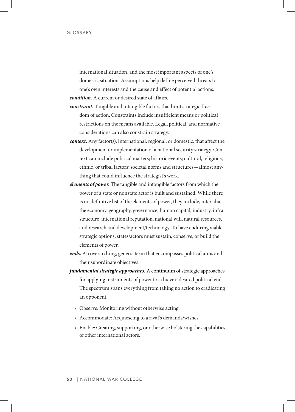international situation, and the most important aspects of one's domestic situation. Assumptions help define perceived threats to one's own interests and the cause and effect of potential actions. *condition.* A current or desired state of affairs.

- *constraint.* Tangible and intangible factors that limit strategic freedom of action. Constraints include insufficient means or political restrictions on the means available. Legal, political, and normative considerations can also constrain strategy.
- *context.* Any factor(s), international, regional, or domestic, that affect the development or implementation of a national security strategy. Context can include political matters; historic events; cultural, religious, ethnic, or tribal factors; societal norms and structures—almost anything that could influence the strategist's work.
- *elements of power.* The tangible and intangible factors from which the power of a state or nonstate actor is built and sustained. While there is no definitive list of the elements of power, they include, inter alia, the economy, geography, governance, human capital, industry, infrastructure, international reputation, national will, natural resources, and research and development/technology. To have enduring viable strategic options, states/actors must sustain, conserve, or build the elements of power.
- *ends.* An overarching, generic term that encompasses political aims and their subordinate objectives.
- *fundamental strategic approaches.* A continuum of strategic approaches for applying instruments of power to achieve a desired political end. The spectrum spans everything from taking no action to eradicating an opponent.
	- Observe: Monitoring without otherwise acting.
	- Accommodate: Acquiescing to a rival's demands/wishes.
	- Enable: Creating, supporting, or otherwise bolstering the capabilities of other international actors.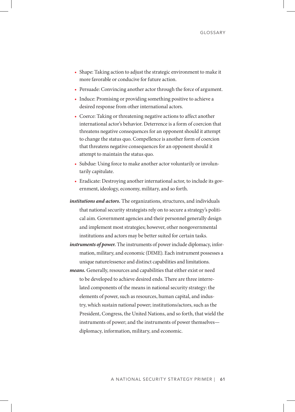- Shape: Taking action to adjust the strategic environment to make it more favorable or conducive for future action.
- Persuade: Convincing another actor through the force of argument.
- Induce: Promising or providing something positive to achieve a desired response from other international actors.
- Coerce: Taking or threatening negative actions to affect another international actor's behavior. Deterrence is a form of coercion that threatens negative consequences for an opponent should it attempt to change the status quo. Compellence is another form of coercion that threatens negative consequences for an opponent should it attempt to maintain the status quo.
- Subdue: Using force to make another actor voluntarily or involuntarily capitulate.
- Eradicate: Destroying another international actor, to include its government, ideology, economy, military, and so forth.
- *institutions and actors.* The organizations, structures, and individuals that national security strategists rely on to secure a strategy's political aim. Government agencies and their personnel generally design and implement most strategies; however, other nongovernmental institutions and actors may be better suited for certain tasks.
- *instruments of power.* The instruments of power include diplomacy, information, military, and economic (DIME). Each instrument possesses a unique nature/essence and distinct capabilities and limitations.
- *means.* Generally, resources and capabilities that either exist or need to be developed to achieve desired ends. There are three interrelated components of the means in national security strategy: the elements of power, such as resources, human capital, and industry, which sustain national power; institutions/actors, such as the President, Congress, the United Nations, and so forth, that wield the instruments of power; and the instruments of power themselves diplomacy, information, military, and economic.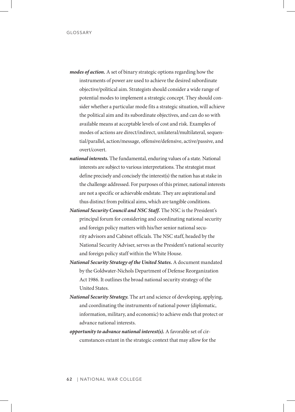- *modes of action.* A set of binary strategic options regarding how the instruments of power are used to achieve the desired subordinate objective/political aim. Strategists should consider a wide range of potential modes to implement a strategic concept. They should consider whether a particular mode fits a strategic situation, will achieve the political aim and its subordinate objectives, and can do so with available means at acceptable levels of cost and risk. Examples of modes of actions are direct/indirect, unilateral/multilateral, sequential/parallel, action/message, offensive/defensive, active/passive, and overt/covert.
- *national interests.* The fundamental, enduring values of a state. National interests are subject to various interpretations. The strategist must define precisely and concisely the interest(s) the nation has at stake in the challenge addressed. For purposes of this primer, national interests are not a specific or achievable endstate. They are aspirational and thus distinct from political aims, which are tangible conditions.
- *National Security Council and NSC Staff.* The NSC is the President's principal forum for considering and coordinating national security and foreign policy matters with his/her senior national security advisors and Cabinet officials. The NSC staff, headed by the National Security Adviser, serves as the President's national security and foreign policy staff within the White House.
- *National Security Strategy of the United States.* A document mandated by the Goldwater-Nichols Department of Defense Reorganization Act 1986. It outlines the broad national security strategy of the United States.
- *National Security Strategy.* The art and science of developing, applying, and coordinating the instruments of national power (diplomatic, information, military, and economic) to achieve ends that protect or advance national interests.
- *opportunity to advance national interest(s).* A favorable set of circumstances extant in the strategic context that may allow for the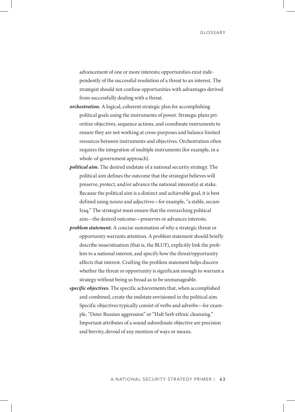advancement of one or more interests; opportunities exist independently of the successful resolution of a threat to an interest. The strategist should not confuse opportunities with advantages derived from successfully dealing with a threat.

- *orchestration.* A logical, coherent strategic plan for accomplishing political goals using the instruments of power. Strategic plans prioritize objectives, sequence actions, and coordinate instruments to ensure they are not working at cross-purposes and balance limited resources between instruments and objectives. Orchestration often requires the integration of multiple instruments (for example, in a whole-of-government approach).
- *political aim.* The desired endstate of a national security strategy. The political aim defines the outcome that the strategist believes will preserve, protect, and/or advance the national interest(s) at stake. Because the political aim is a distinct and achievable goal, it is best defined using nouns and adjectives—for example, "a stable, secure Iraq." The strategist must ensure that the overarching political aim—the desired outcome—preserves or advances interests.
- *problem statement.* A concise summation of why a strategic threat or opportunity warrants attention. A problem statement should briefly describe issue/situation (that is, the BLUF), explicitly link the problem to a national interest, and specify how the threat/opportunity affects that interest. Crafting the problem statement helps discern whether the threat or opportunity is significant enough to warrant a strategy without being so broad as to be unmanageable.
- *specific objectives.* The specific achievements that, when accomplished and combined, create the endstate envisioned in the political aim. Specific objectives typically consist of verbs and adverbs—for example, "Deter Russian aggression" or "Halt Serb ethnic cleansing." Important attributes of a sound subordinate objective are precision and brevity, devoid of any mention of ways or means.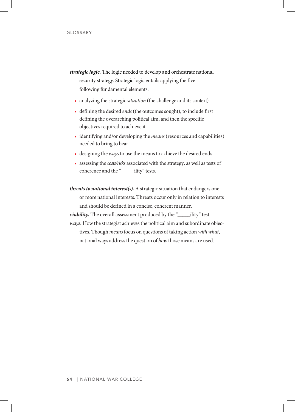- *strategic logic.* The logic needed to develop and orchestrate national security strategy. Strategic logic entails applying the five following fundamental elements:
	- analyzing the strategic *situation* (the challenge and its context)
	- defining the desired ends (the outcomes sought), to include first defining the overarching political aim, and then the specific objectives required to achieve it
	- identifying and/or developing the *means* (resources and capabilities) needed to bring to bear
	- designing the *ways* to use the means to achieve the desired ends
	- assessing the *costs/risks* associated with the strategy, as well as tests of coherence and the " ility" tests.
- *threats to national interest(s).* A strategic situation that endangers one or more national interests. Threats occur only in relation to interests and should be defined in a concise, coherent manner.
- *viability*. The overall assessment produced by the "\_\_\_\_\_\_ility" test.
- *ways.* How the strategist achieves the political aim and subordinate objectives. Though *means* focus on questions of taking action *with what*, national ways address the question of *how* those means are used.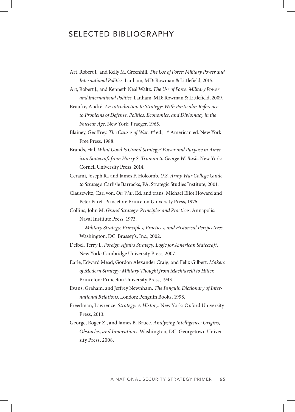## SELECTED BIBLIOGRAPHY

- Art, Robert J., and Kelly M. Greenhill. *The Use of Force: Military Power and International Politics*. Lanham, MD: Rowman & Littlefield, 2015.
- Art, Robert J., and Kenneth Neal Waltz. *The Use of Force: Military Power and International Politics*. Lanham, MD: Rowman & Littlefield, 2009.
- Beaufre, André. *An Introduction to Strategy: With Particular Reference to Problems of Defense, Politics, Economics, and Diplomacy in the Nuclear Age*. New York: Praeger, 1965.
- Blainey, Geoffrey. *The Causes of War*. 3<sup>rd</sup> ed., 1<sup>st</sup> American ed. New York: Free Press, 1988.
- Brands, Hal. *What Good Is Grand Strategy? Power and Purpose in American Statecraft from Harry S. Truman to George W. Bush*. New York: Cornell University Press, 2014.
- Cerami, Joseph R., and James F. Holcomb. *U.S. Army War College Guide to Strategy.* Carlisle Barracks, PA: Strategic Studies Institute, 2001.
- Clausewitz, Carl von. *On War*. Ed. and trans. Michael Eliot Howard and Peter Paret. Princeton: Princeton University Press, 1976.
- Collins, John M. *Grand Strategy: Principles and Practices*. Annapolis: Naval Institute Press, 1973.
- ———. *Military Strategy: Principles, Practices, and Historical Perspectives*. Washington, DC: Brassey's, Inc., 2002.
- Deibel, Terry L. *Foreign Affairs Strategy: Logic for American Statecraft*. New York: Cambridge University Press, 2007.
- Earle, Edward Mead, Gordon Alexander Craig, and Felix Gilbert. *Makers of Modern Strategy: Military Thought from Machiavelli to Hitler*. Princeton: Princeton University Press, 1943.
- Evans, Graham, and Jeffrey Newnham. *The Penguin Dictionary of International Relations*. London: Penguin Books, 1998.
- Freedman, Lawrence. *Strategy: A History*. New York: Oxford University Press, 2013.
- George, Roger Z., and James B. Bruce. *Analyzing Intelligence: Origins, Obstacles, and Innovations*. Washington, DC: Georgetown University Press, 2008.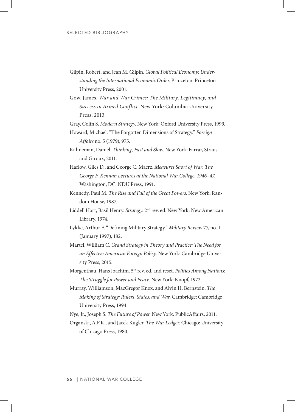- Gilpin, Robert, and Jean M. Gilpin. *Global Political Economy: Understanding the International Economic Order*. Princeton: Princeton University Press, 2001.
- Gow, James. *War and War Crimes: The Military, Legitimacy, and Success in Armed Conflict*. New York: Columbia University Press, 2013.

Gray, Colin S. *Modern Strategy*. New York: Oxford University Press, 1999.

Howard, Michael. "The Forgotten Dimensions of Strategy." *Foreign Affairs* no. 5 (1979), 975.

Kahneman, Daniel. *Thinking, Fast and Slow*. New York: Farrar, Straus and Giroux, 2011.

- Harlow, Giles D., and George C. Maerz. *Measures Short of War: The George F. Kennan Lectures at the National War College, 1946–47*. Washington, DC: NDU Press, 1991.
- Kennedy, Paul M. *The Rise and Fall of the Great Powers*. New York: Random House, 1987.
- Liddell Hart, Basil Henry. *Strategy*. 2nd rev. ed. New York: New American Library, 1974.
- Lykke, Arthur F. "Defining Military Strategy." *Military Review* 77, no. 1 (January 1997), 182.

Martel, William C. *Grand Strategy in Theory and Practice: The Need for an Effective American Foreign Policy*. New York: Cambridge University Press, 2015.

Morgenthau, Hans Joachim. 5th rev. ed. and reset. *Politics Among Nations: The Struggle for Power and Peace*. New York: Knopf, 1972.

Murray, Williamson, MacGregor Knox, and Alvin H. Bernstein. *The Making of Strategy: Rulers, States, and War*. Cambridge: Cambridge University Press, 1994.

Nye, Jr., Joseph S. *The Future of Power*. New York: PublicAffairs, 2011.

Organski, A.F.K., and Jacek Kugler. *The War Ledger*. Chicago: University of Chicago Press, 1980.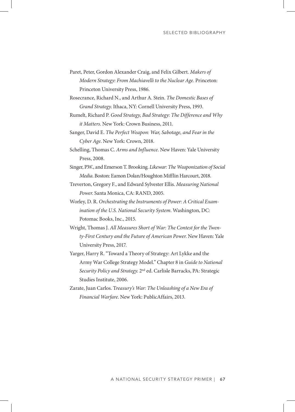- Paret, Peter, Gordon Alexander Craig, and Felix Gilbert. *Makers of Modern Strategy: From Machiavelli to the Nuclear Age*. Princeton: Princeton University Press, 1986.
- Rosecrance, Richard N., and Arthur A. Stein. *The Domestic Bases of Grand Strategy*. Ithaca, NY: Cornell University Press, 1993.
- Rumelt, Richard P. *Good Strategy, Bad Strategy: The Difference and Why it Matters*. New York: Crown Business, 2011.
- Sanger, David E. *The Perfect Weapon: War, Sabotage, and Fear in the Cyber Age*. New York: Crown, 2018.
- Schelling, Thomas C. *Arms and Influence*. New Haven: Yale University Press, 2008.
- Singer, P.W., and Emerson T. Brooking. *Likewar: The Weaponization of Social Media*. Boston: Eamon Dolan/Houghton Mifflin Harcourt, 2018.
- Treverton, Gregory F., and Edward Sylvester Ellis. *Measuring National Power*. Santa Monica, CA: RAND, 2005.
- Worley, D. R. *Orchestrating the Instruments of Power: A Critical Examination of the U.S. National Security System*. Washington, DC: Potomac Books, Inc., 2015.
- Wright, Thomas J. *All Measures Short of War: The Contest for the Twenty-First Century and the Future of American Power*. New Haven: Yale University Press, 2017.
- Yarger, Harry R. "Toward a Theory of Strategy: Art Lykke and the Army War College Strategy Model." Chapter 8 in *Guide to National Security Policy and Strategy*. 2nd ed. Carlisle Barracks, PA: Strategic Studies Institute, 2006.
- Zarate, Juan Carlos. T*reasury's War: The Unleashing of a New Era of Financial Warfare*. New York: PublicAffairs, 2013.